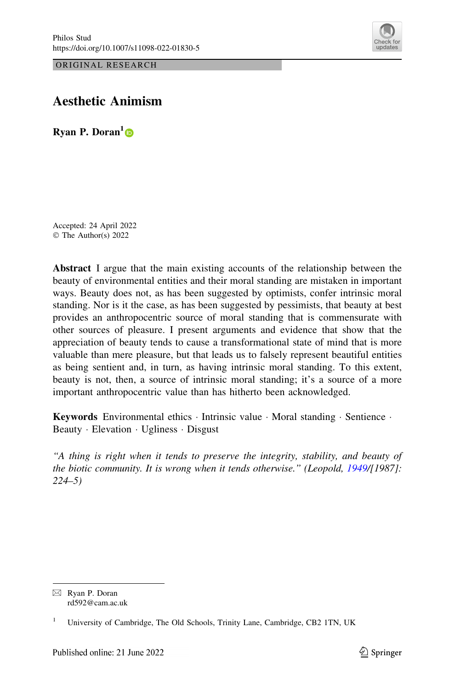



# Aesthetic Animism

Ryan P. Doran<sup>1</sup> $\bullet$ 

Accepted: 24 April 2022 © The Author(s) 2022

Abstract I argue that the main existing accounts of the relationship between the beauty of environmental entities and their moral standing are mistaken in important ways. Beauty does not, as has been suggested by optimists, confer intrinsic moral standing. Nor is it the case, as has been suggested by pessimists, that beauty at best provides an anthropocentric source of moral standing that is commensurate with other sources of pleasure. I present arguments and evidence that show that the appreciation of beauty tends to cause a transformational state of mind that is more valuable than mere pleasure, but that leads us to falsely represent beautiful entities as being sentient and, in turn, as having intrinsic moral standing. To this extent, beauty is not, then, a source of intrinsic moral standing; it's a source of a more important anthropocentric value than has hitherto been acknowledged.

Keywords Environmental ethics · Intrinsic value · Moral standing · Sentience · Beauty - Elevation - Ugliness - Disgust

''A thing is right when it tends to preserve the integrity, stability, and beauty of the biotic community. It is wrong when it tends otherwise." (Leopold, [1949/](#page-34-0)[1987]: 224–5)

 $\boxtimes$  Ryan P. Doran rd592@cam.ac.uk

<sup>&</sup>lt;sup>1</sup> University of Cambridge, The Old Schools, Trinity Lane, Cambridge, CB2 1TN, UK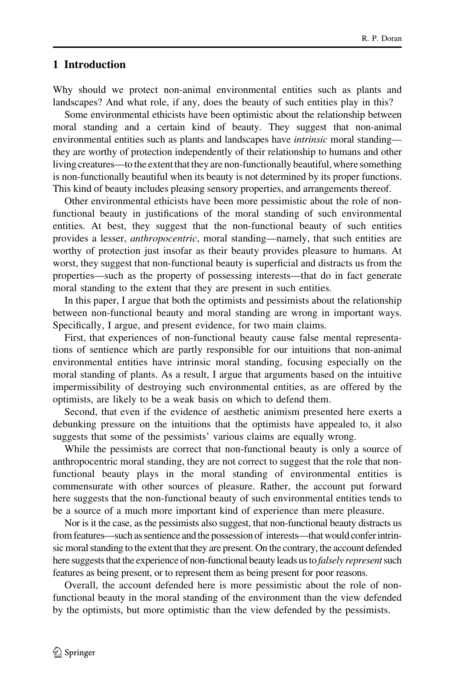# 1 Introduction

Why should we protect non-animal environmental entities such as plants and landscapes? And what role, if any, does the beauty of such entities play in this?

Some environmental ethicists have been optimistic about the relationship between moral standing and a certain kind of beauty. They suggest that non-animal environmental entities such as plants and landscapes have *intrinsic* moral standing they are worthy of protection independently of their relationship to humans and other living creatures—to the extent that they are non-functionally beautiful, where something is non-functionally beautiful when its beauty is not determined by its proper functions. This kind of beauty includes pleasing sensory properties, and arrangements thereof.

Other environmental ethicists have been more pessimistic about the role of nonfunctional beauty in justifications of the moral standing of such environmental entities. At best, they suggest that the non-functional beauty of such entities provides a lesser, *anthropocentric*, moral standing—namely, that such entities are worthy of protection just insofar as their beauty provides pleasure to humans. At worst, they suggest that non-functional beauty is superficial and distracts us from the properties—such as the property of possessing interests—that do in fact generate moral standing to the extent that they are present in such entities.

In this paper, I argue that both the optimists and pessimists about the relationship between non-functional beauty and moral standing are wrong in important ways. Specifically, I argue, and present evidence, for two main claims.

First, that experiences of non-functional beauty cause false mental representations of sentience which are partly responsible for our intuitions that non-animal environmental entities have intrinsic moral standing, focusing especially on the moral standing of plants. As a result, I argue that arguments based on the intuitive impermissibility of destroying such environmental entities, as are offered by the optimists, are likely to be a weak basis on which to defend them.

Second, that even if the evidence of aesthetic animism presented here exerts a debunking pressure on the intuitions that the optimists have appealed to, it also suggests that some of the pessimists' various claims are equally wrong.

While the pessimists are correct that non-functional beauty is only a source of anthropocentric moral standing, they are not correct to suggest that the role that nonfunctional beauty plays in the moral standing of environmental entities is commensurate with other sources of pleasure. Rather, the account put forward here suggests that the non-functional beauty of such environmental entities tends to be a source of a much more important kind of experience than mere pleasure.

Nor is it the case, as the pessimists also suggest, that non-functional beauty distracts us from features—such as sentience and the possession of interests—that would confer intrinsic moral standing to the extent that they are present. On the contrary, the account defended here suggests that the experience of non-functional beauty leads us to *falsely represent* such features as being present, or to represent them as being present for poor reasons.

Overall, the account defended here is more pessimistic about the role of nonfunctional beauty in the moral standing of the environment than the view defended by the optimists, but more optimistic than the view defended by the pessimists.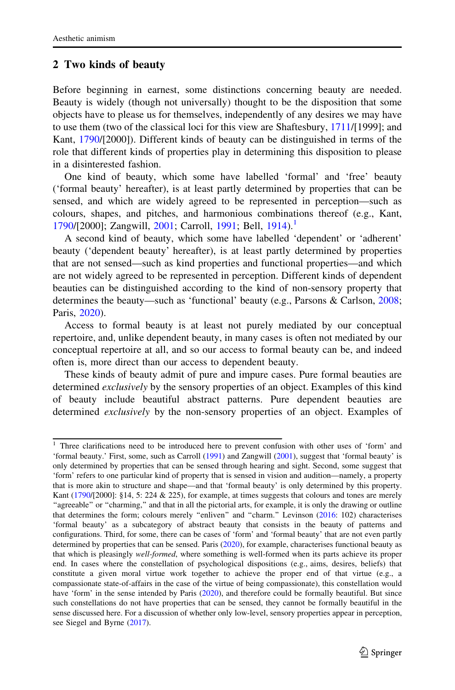# <span id="page-2-0"></span>2 Two kinds of beauty

Before beginning in earnest, some distinctions concerning beauty are needed. Beauty is widely (though not universally) thought to be the disposition that some objects have to please us for themselves, independently of any desires we may have to use them (two of the classical loci for this view are Shaftesbury, [1711](#page-35-0)/[1999]; and Kant, [1790](#page-33-0)/[2000]). Different kinds of beauty can be distinguished in terms of the role that different kinds of properties play in determining this disposition to please in a disinterested fashion.

One kind of beauty, which some have labelled 'formal' and 'free' beauty ('formal beauty' hereafter), is at least partly determined by properties that can be sensed, and which are widely agreed to be represented in perception—such as colours, shapes, and pitches, and harmonious combinations thereof (e.g., Kant, [1790/](#page-33-0)[2000]; Zangwill, [2001](#page-35-0); Carroll, [1991;](#page-33-0) Bell, [1914](#page-32-0)).<sup>1</sup>

A second kind of beauty, which some have labelled 'dependent' or 'adherent' beauty ('dependent beauty' hereafter), is at least partly determined by properties that are not sensed—such as kind properties and functional properties—and which are not widely agreed to be represented in perception. Different kinds of dependent beauties can be distinguished according to the kind of non-sensory property that determines the beauty—such as 'functional' beauty (e.g., Parsons & Carlson, [2008;](#page-34-0) Paris, [2020\)](#page-34-0).

Access to formal beauty is at least not purely mediated by our conceptual repertoire, and, unlike dependent beauty, in many cases is often not mediated by our conceptual repertoire at all, and so our access to formal beauty can be, and indeed often is, more direct than our access to dependent beauty.

These kinds of beauty admit of pure and impure cases. Pure formal beauties are determined *exclusively* by the sensory properties of an object. Examples of this kind of beauty include beautiful abstract patterns. Pure dependent beauties are determined exclusively by the non-sensory properties of an object. Examples of

<sup>&</sup>lt;sup>1</sup> Three clarifications need to be introduced here to prevent confusion with other uses of 'form' and 'formal beauty.' First, some, such as Carroll ([1991\)](#page-33-0) and Zangwill [\(2001](#page-35-0)), suggest that 'formal beauty' is only determined by properties that can be sensed through hearing and sight. Second, some suggest that 'form' refers to one particular kind of property that is sensed in vision and audition—namely, a property that is more akin to structure and shape—and that 'formal beauty' is only determined by this property. Kant [\(1790](#page-33-0)/[2000]: §14, 5: 224 & 225), for example, at times suggests that colours and tones are merely ''agreeable'' or ''charming,'' and that in all the pictorial arts, for example, it is only the drawing or outline that determines the form; colours merely "enliven" and "charm." Levinson [\(2016](#page-34-0): 102) characterises 'formal beauty' as a subcategory of abstract beauty that consists in the beauty of patterns and configurations. Third, for some, there can be cases of 'form' and 'formal beauty' that are not even partly determined by properties that can be sensed. Paris  $(2020)$  $(2020)$ , for example, characterises functional beauty as that which is pleasingly well-formed, where something is well-formed when its parts achieve its proper end. In cases where the constellation of psychological dispositions (e.g., aims, desires, beliefs) that constitute a given moral virtue work together to achieve the proper end of that virtue (e.g., a compassionate state-of-affairs in the case of the virtue of being compassionate), this constellation would have 'form' in the sense intended by Paris [\(2020](#page-34-0)), and therefore could be formally beautiful. But since such constellations do not have properties that can be sensed, they cannot be formally beautiful in the sense discussed here. For a discussion of whether only low-level, sensory properties appear in perception, see Siegel and Byrne [\(2017](#page-35-0)).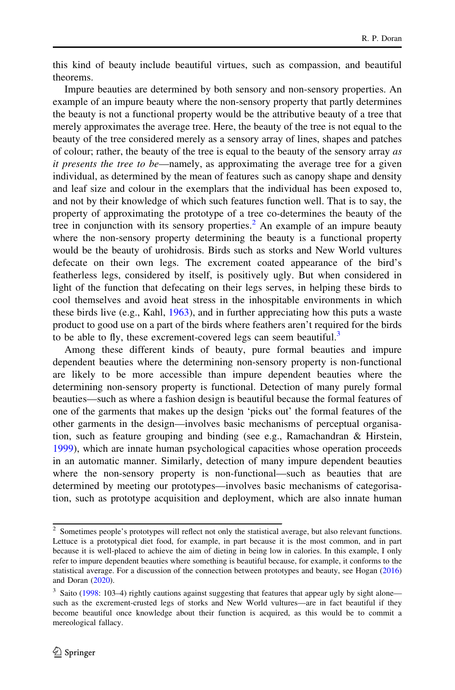this kind of beauty include beautiful virtues, such as compassion, and beautiful theorems.

Impure beauties are determined by both sensory and non-sensory properties. An example of an impure beauty where the non-sensory property that partly determines the beauty is not a functional property would be the attributive beauty of a tree that merely approximates the average tree. Here, the beauty of the tree is not equal to the beauty of the tree considered merely as a sensory array of lines, shapes and patches of colour; rather, the beauty of the tree is equal to the beauty of the sensory array as it presents the tree to be—namely, as approximating the average tree for a given individual, as determined by the mean of features such as canopy shape and density and leaf size and colour in the exemplars that the individual has been exposed to, and not by their knowledge of which such features function well. That is to say, the property of approximating the prototype of a tree co-determines the beauty of the tree in conjunction with its sensory properties.<sup>2</sup> An example of an impure beauty where the non-sensory property determining the beauty is a functional property would be the beauty of urohidrosis. Birds such as storks and New World vultures defecate on their own legs. The excrement coated appearance of the bird's featherless legs, considered by itself, is positively ugly. But when considered in light of the function that defecating on their legs serves, in helping these birds to cool themselves and avoid heat stress in the inhospitable environments in which these birds live (e.g., Kahl, [1963\)](#page-34-0), and in further appreciating how this puts a waste product to good use on a part of the birds where feathers aren't required for the birds to be able to fly, these excrement-covered legs can seem beautiful.<sup>3</sup>

Among these different kinds of beauty, pure formal beauties and impure dependent beauties where the determining non-sensory property is non-functional are likely to be more accessible than impure dependent beauties where the determining non-sensory property is functional. Detection of many purely formal beauties—such as where a fashion design is beautiful because the formal features of one of the garments that makes up the design 'picks out' the formal features of the other garments in the design—involves basic mechanisms of perceptual organisation, such as feature grouping and binding (see e.g., Ramachandran & Hirstein, [1999\)](#page-34-0), which are innate human psychological capacities whose operation proceeds in an automatic manner. Similarly, detection of many impure dependent beauties where the non-sensory property is non-functional—such as beauties that are determined by meeting our prototypes—involves basic mechanisms of categorisation, such as prototype acquisition and deployment, which are also innate human

<sup>&</sup>lt;sup>2</sup> Sometimes people's prototypes will reflect not only the statistical average, but also relevant functions. Lettuce is a prototypical diet food, for example, in part because it is the most common, and in part because it is well-placed to achieve the aim of dieting in being low in calories. In this example, I only refer to impure dependent beauties where something is beautiful because, for example, it conforms to the statistical average. For a discussion of the connection between prototypes and beauty, see Hogan ([2016\)](#page-33-0) and Doran [\(2020](#page-33-0)).

<sup>&</sup>lt;sup>3</sup> Saito [\(1998](#page-35-0): 103-4) rightly cautions against suggesting that features that appear ugly by sight alone such as the excrement-crusted legs of storks and New World vultures—are in fact beautiful if they become beautiful once knowledge about their function is acquired, as this would be to commit a mereological fallacy.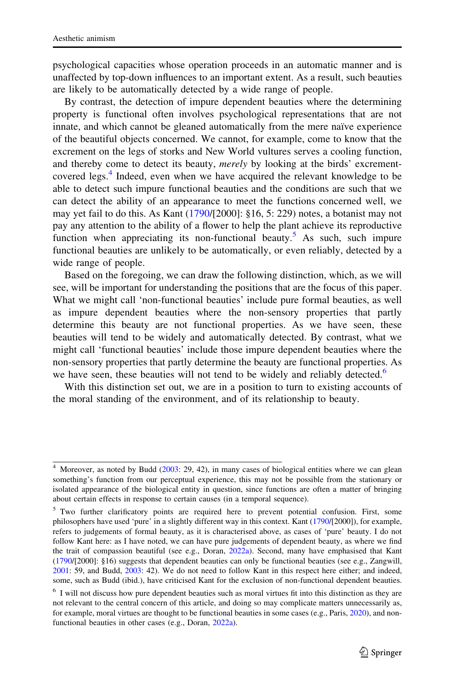psychological capacities whose operation proceeds in an automatic manner and is unaffected by top-down influences to an important extent. As a result, such beauties are likely to be automatically detected by a wide range of people.

By contrast, the detection of impure dependent beauties where the determining property is functional often involves psychological representations that are not innate, and which cannot be gleaned automatically from the mere naïve experience of the beautiful objects concerned. We cannot, for example, come to know that the excrement on the legs of storks and New World vultures serves a cooling function, and thereby come to detect its beauty, merely by looking at the birds' excrementcovered legs.<sup>4</sup> Indeed, even when we have acquired the relevant knowledge to be able to detect such impure functional beauties and the conditions are such that we can detect the ability of an appearance to meet the functions concerned well, we may yet fail to do this. As Kant ([1790/](#page-33-0)[2000]: §16, 5: 229) notes, a botanist may not pay any attention to the ability of a flower to help the plant achieve its reproductive function when appreciating its non-functional beauty.<sup>5</sup> As such, such impure functional beauties are unlikely to be automatically, or even reliably, detected by a wide range of people.

Based on the foregoing, we can draw the following distinction, which, as we will see, will be important for understanding the positions that are the focus of this paper. What we might call 'non-functional beauties' include pure formal beauties, as well as impure dependent beauties where the non-sensory properties that partly determine this beauty are not functional properties. As we have seen, these beauties will tend to be widely and automatically detected. By contrast, what we might call 'functional beauties' include those impure dependent beauties where the non-sensory properties that partly determine the beauty are functional properties. As we have seen, these beauties will not tend to be widely and reliably detected.<sup>6</sup>

With this distinction set out, we are in a position to turn to existing accounts of the moral standing of the environment, and of its relationship to beauty.

<sup>&</sup>lt;sup>4</sup> Moreover, as noted by Budd ([2003:](#page-32-0) 29, 42), in many cases of biological entities where we can glean something's function from our perceptual experience, this may not be possible from the stationary or isolated appearance of the biological entity in question, since functions are often a matter of bringing about certain effects in response to certain causes (in a temporal sequence).

<sup>&</sup>lt;sup>5</sup> Two further clarificatory points are required here to prevent potential confusion. First, some philosophers have used 'pure' in a slightly different way in this context. Kant [\(1790/](#page-33-0)[2000]), for example, refers to judgements of formal beauty, as it is characterised above, as cases of 'pure' beauty. I do not follow Kant here: as I have noted, we can have pure judgements of dependent beauty, as where we find the trait of compassion beautiful (see e.g., Doran, [2022a\)](#page-33-0). Second, many have emphasised that Kant ([1790/](#page-33-0)[2000]: §16) suggests that dependent beauties can only be functional beauties (see e.g., Zangwill, [2001:](#page-35-0) 59, and Budd, [2003:](#page-32-0) 42). We do not need to follow Kant in this respect here either; and indeed, some, such as Budd (ibid.), have criticised Kant for the exclusion of non-functional dependent beauties.

<sup>&</sup>lt;sup>6</sup> I will not discuss how pure dependent beauties such as moral virtues fit into this distinction as they are not relevant to the central concern of this article, and doing so may complicate matters unnecessarily as, for example, moral virtues are thought to be functional beauties in some cases (e.g., Paris, [2020\)](#page-34-0), and nonfunctional beauties in other cases (e.g., Doran, [2022a](#page-33-0)).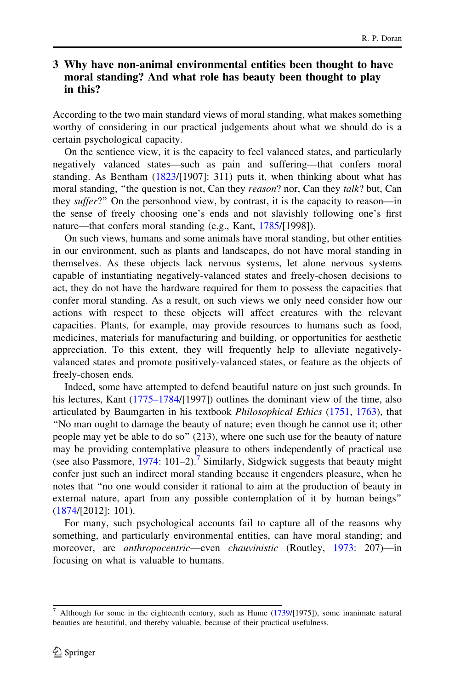# <span id="page-5-0"></span>3 Why have non-animal environmental entities been thought to have moral standing? And what role has beauty been thought to play in this?

According to the two main standard views of moral standing, what makes something worthy of considering in our practical judgements about what we should do is a certain psychological capacity.

On the sentience view, it is the capacity to feel valanced states, and particularly negatively valanced states—such as pain and suffering—that confers moral standing. As Bentham [\(1823](#page-32-0)/[1907]: 311) puts it, when thinking about what has moral standing, "the question is not, Can they reason? nor, Can they talk? but, Can they suffer?" On the personhood view, by contrast, it is the capacity to reason—in the sense of freely choosing one's ends and not slavishly following one's first nature—that confers moral standing (e.g., Kant, [1785/](#page-33-0)[1998]).

On such views, humans and some animals have moral standing, but other entities in our environment, such as plants and landscapes, do not have moral standing in themselves. As these objects lack nervous systems, let alone nervous systems capable of instantiating negatively-valanced states and freely-chosen decisions to act, they do not have the hardware required for them to possess the capacities that confer moral standing. As a result, on such views we only need consider how our actions with respect to these objects will affect creatures with the relevant capacities. Plants, for example, may provide resources to humans such as food, medicines, materials for manufacturing and building, or opportunities for aesthetic appreciation. To this extent, they will frequently help to alleviate negativelyvalanced states and promote positively-valanced states, or feature as the objects of freely-chosen ends.

Indeed, some have attempted to defend beautiful nature on just such grounds. In his lectures, Kant [\(1775–1784](#page-34-0)/[1997]) outlines the dominant view of the time, also articulated by Baumgarten in his textbook *Philosophical Ethics* [\(1751](#page-32-0), [1763](#page-32-0)), that ''No man ought to damage the beauty of nature; even though he cannot use it; other people may yet be able to do so'' (213), where one such use for the beauty of nature may be providing contemplative pleasure to others independently of practical use (see also Passmore,  $1974$ : 101–2).<sup>7</sup> Similarly, Sidgwick suggests that beauty might confer just such an indirect moral standing because it engenders pleasure, when he notes that ''no one would consider it rational to aim at the production of beauty in external nature, apart from any possible contemplation of it by human beings'' [\(1874](#page-35-0)/[2012]: 101).

For many, such psychological accounts fail to capture all of the reasons why something, and particularly environmental entities, can have moral standing; and moreover, are *anthropocentric*—even *chauvinistic* (Routley, [1973:](#page-34-0) 207)—in focusing on what is valuable to humans.

 $7$  Although for some in the eighteenth century, such as Hume [\(1739](#page-33-0)/[1975]), some inanimate natural beauties are beautiful, and thereby valuable, because of their practical usefulness.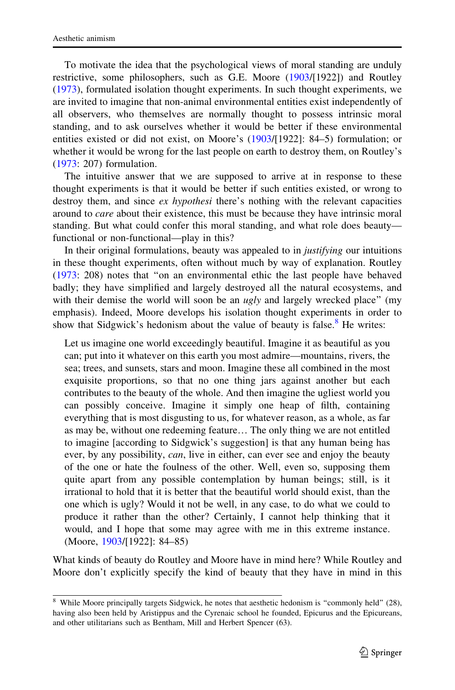To motivate the idea that the psychological views of moral standing are unduly restrictive, some philosophers, such as G.E. Moore [\(1903](#page-34-0)/[1922]) and Routley [\(1973](#page-34-0)), formulated isolation thought experiments. In such thought experiments, we are invited to imagine that non-animal environmental entities exist independently of all observers, who themselves are normally thought to possess intrinsic moral standing, and to ask ourselves whether it would be better if these environmental entities existed or did not exist, on Moore's ([1903](#page-34-0)/[1922]: 84–5) formulation; or whether it would be wrong for the last people on earth to destroy them, on Routley's [\(1973](#page-34-0): 207) formulation.

The intuitive answer that we are supposed to arrive at in response to these thought experiments is that it would be better if such entities existed, or wrong to destroy them, and since ex hypothesi there's nothing with the relevant capacities around to care about their existence, this must be because they have intrinsic moral standing. But what could confer this moral standing, and what role does beauty functional or non-functional—play in this?

In their original formulations, beauty was appealed to in *justifying* our intuitions in these thought experiments, often without much by way of explanation. Routley [\(1973](#page-34-0): 208) notes that ''on an environmental ethic the last people have behaved badly; they have simplified and largely destroyed all the natural ecosystems, and with their demise the world will soon be an  $u\not g/\gamma$  and largely wrecked place" (my emphasis). Indeed, Moore develops his isolation thought experiments in order to show that Sidgwick's hedonism about the value of beauty is false. $8$  He writes:

Let us imagine one world exceedingly beautiful. Imagine it as beautiful as you can; put into it whatever on this earth you most admire—mountains, rivers, the sea; trees, and sunsets, stars and moon. Imagine these all combined in the most exquisite proportions, so that no one thing jars against another but each contributes to the beauty of the whole. And then imagine the ugliest world you can possibly conceive. Imagine it simply one heap of filth, containing everything that is most disgusting to us, for whatever reason, as a whole, as far as may be, without one redeeming feature… The only thing we are not entitled to imagine [according to Sidgwick's suggestion] is that any human being has ever, by any possibility, *can*, live in either, can ever see and enjoy the beauty of the one or hate the foulness of the other. Well, even so, supposing them quite apart from any possible contemplation by human beings; still, is it irrational to hold that it is better that the beautiful world should exist, than the one which is ugly? Would it not be well, in any case, to do what we could to produce it rather than the other? Certainly, I cannot help thinking that it would, and I hope that some may agree with me in this extreme instance. (Moore, [1903](#page-34-0)/[1922]: 84–85)

What kinds of beauty do Routley and Moore have in mind here? While Routley and Moore don't explicitly specify the kind of beauty that they have in mind in this

<sup>&</sup>lt;sup>8</sup> While Moore principally targets Sidgwick, he notes that aesthetic hedonism is "commonly held" (28), having also been held by Aristippus and the Cyrenaic school he founded, Epicurus and the Epicureans, and other utilitarians such as Bentham, Mill and Herbert Spencer (63).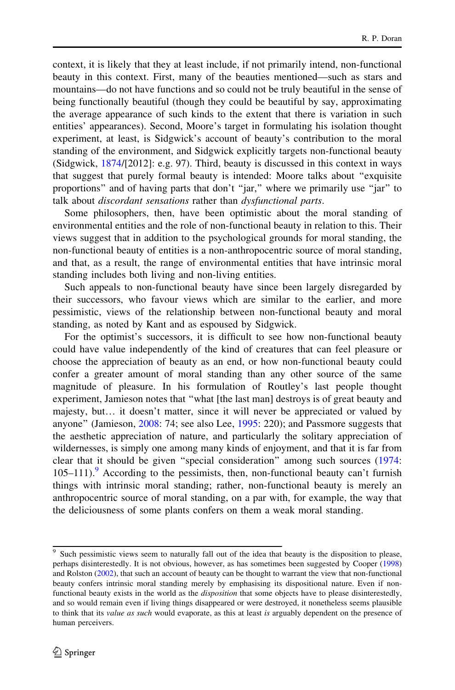context, it is likely that they at least include, if not primarily intend, non-functional beauty in this context. First, many of the beauties mentioned—such as stars and mountains—do not have functions and so could not be truly beautiful in the sense of being functionally beautiful (though they could be beautiful by say, approximating the average appearance of such kinds to the extent that there is variation in such entities' appearances). Second, Moore's target in formulating his isolation thought experiment, at least, is Sidgwick's account of beauty's contribution to the moral standing of the environment, and Sidgwick explicitly targets non-functional beauty (Sidgwick, [1874](#page-35-0)/[2012]: e.g. 97). Third, beauty is discussed in this context in ways that suggest that purely formal beauty is intended: Moore talks about ''exquisite proportions'' and of having parts that don't ''jar,'' where we primarily use ''jar'' to talk about *discordant sensations* rather than *dysfunctional parts*.

Some philosophers, then, have been optimistic about the moral standing of environmental entities and the role of non-functional beauty in relation to this. Their views suggest that in addition to the psychological grounds for moral standing, the non-functional beauty of entities is a non-anthropocentric source of moral standing, and that, as a result, the range of environmental entities that have intrinsic moral standing includes both living and non-living entities.

Such appeals to non-functional beauty have since been largely disregarded by their successors, who favour views which are similar to the earlier, and more pessimistic, views of the relationship between non-functional beauty and moral standing, as noted by Kant and as espoused by Sidgwick.

For the optimist's successors, it is difficult to see how non-functional beauty could have value independently of the kind of creatures that can feel pleasure or choose the appreciation of beauty as an end, or how non-functional beauty could confer a greater amount of moral standing than any other source of the same magnitude of pleasure. In his formulation of Routley's last people thought experiment, Jamieson notes that ''what [the last man] destroys is of great beauty and majesty, but… it doesn't matter, since it will never be appreciated or valued by anyone'' (Jamieson, [2008:](#page-33-0) 74; see also Lee, [1995](#page-34-0): 220); and Passmore suggests that the aesthetic appreciation of nature, and particularly the solitary appreciation of wildernesses, is simply one among many kinds of enjoyment, and that it is far from clear that it should be given ''special consideration'' among such sources ([1974:](#page-34-0)  $105-111$ .<sup>9</sup> According to the pessimists, then, non-functional beauty can't furnish things with intrinsic moral standing; rather, non-functional beauty is merely an anthropocentric source of moral standing, on a par with, for example, the way that the deliciousness of some plants confers on them a weak moral standing.

<sup>&</sup>lt;sup>9</sup> Such pessimistic views seem to naturally fall out of the idea that beauty is the disposition to please, perhaps disinterestedly. It is not obvious, however, as has sometimes been suggested by Cooper ([1998\)](#page-33-0) and Rolston ([2002\)](#page-34-0), that such an account of beauty can be thought to warrant the view that non-functional beauty confers intrinsic moral standing merely by emphasising its dispositional nature. Even if nonfunctional beauty exists in the world as the *disposition* that some objects have to please disinterestedly, and so would remain even if living things disappeared or were destroyed, it nonetheless seems plausible to think that its *value as such* would evaporate, as this at least *is* arguably dependent on the presence of human perceivers.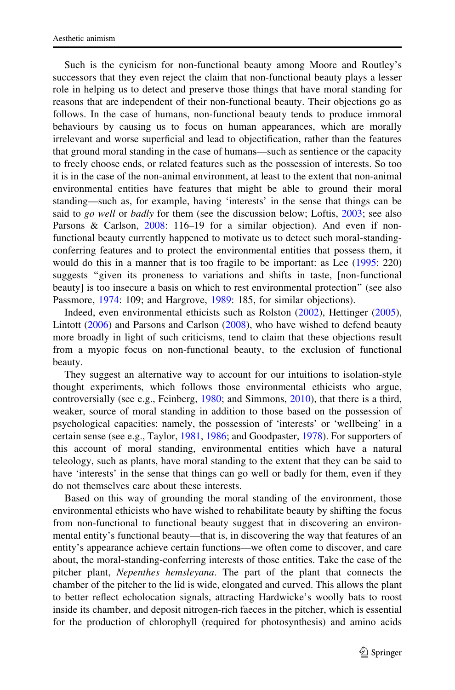Such is the cynicism for non-functional beauty among Moore and Routley's successors that they even reject the claim that non-functional beauty plays a lesser role in helping us to detect and preserve those things that have moral standing for reasons that are independent of their non-functional beauty. Their objections go as follows. In the case of humans, non-functional beauty tends to produce immoral behaviours by causing us to focus on human appearances, which are morally irrelevant and worse superficial and lead to objectification, rather than the features that ground moral standing in the case of humans—such as sentience or the capacity to freely choose ends, or related features such as the possession of interests. So too it is in the case of the non-animal environment, at least to the extent that non-animal environmental entities have features that might be able to ground their moral standing—such as, for example, having 'interests' in the sense that things can be said to *go well* or *badly* for them (see the discussion below; Loftis, [2003](#page-34-0); see also Parsons & Carlson, [2008](#page-34-0): 116-19 for a similar objection). And even if nonfunctional beauty currently happened to motivate us to detect such moral-standingconferring features and to protect the environmental entities that possess them, it would do this in a manner that is too fragile to be important: as Lee ([1995:](#page-34-0) 220) suggests ''given its proneness to variations and shifts in taste, [non-functional beauty] is too insecure a basis on which to rest environmental protection'' (see also Passmore, [1974](#page-34-0): 109; and Hargrove, [1989:](#page-33-0) 185, for similar objections).

Indeed, even environmental ethicists such as Rolston [\(2002](#page-34-0)), Hettinger ([2005\)](#page-33-0), Lintott ([2006\)](#page-34-0) and Parsons and Carlson ([2008\)](#page-34-0), who have wished to defend beauty more broadly in light of such criticisms, tend to claim that these objections result from a myopic focus on non-functional beauty, to the exclusion of functional beauty.

They suggest an alternative way to account for our intuitions to isolation-style thought experiments, which follows those environmental ethicists who argue, controversially (see e.g., Feinberg, [1980;](#page-33-0) and Simmons, [2010](#page-35-0)), that there is a third, weaker, source of moral standing in addition to those based on the possession of psychological capacities: namely, the possession of 'interests' or 'wellbeing' in a certain sense (see e.g., Taylor, [1981](#page-35-0), [1986;](#page-35-0) and Goodpaster, [1978\)](#page-33-0). For supporters of this account of moral standing, environmental entities which have a natural teleology, such as plants, have moral standing to the extent that they can be said to have 'interests' in the sense that things can go well or badly for them, even if they do not themselves care about these interests.

Based on this way of grounding the moral standing of the environment, those environmental ethicists who have wished to rehabilitate beauty by shifting the focus from non-functional to functional beauty suggest that in discovering an environmental entity's functional beauty—that is, in discovering the way that features of an entity's appearance achieve certain functions—we often come to discover, and care about, the moral-standing-conferring interests of those entities. Take the case of the pitcher plant, Nepenthes hemsleyana. The part of the plant that connects the chamber of the pitcher to the lid is wide, elongated and curved. This allows the plant to better reflect echolocation signals, attracting Hardwicke's woolly bats to roost inside its chamber, and deposit nitrogen-rich faeces in the pitcher, which is essential for the production of chlorophyll (required for photosynthesis) and amino acids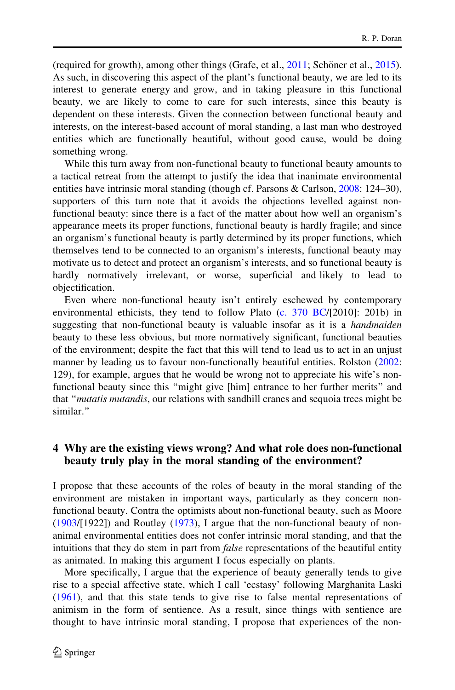<span id="page-9-0"></span>(required for growth), among other things (Grafe, et al.,  $2011$ ; Schöner et al.,  $2015$ ). As such, in discovering this aspect of the plant's functional beauty, we are led to its interest to generate energy and grow, and in taking pleasure in this functional beauty, we are likely to come to care for such interests, since this beauty is dependent on these interests. Given the connection between functional beauty and interests, on the interest-based account of moral standing, a last man who destroyed entities which are functionally beautiful, without good cause, would be doing something wrong.

While this turn away from non-functional beauty to functional beauty amounts to a tactical retreat from the attempt to justify the idea that inanimate environmental entities have intrinsic moral standing (though cf. Parsons & Carlson, [2008](#page-34-0): 124–30), supporters of this turn note that it avoids the objections levelled against nonfunctional beauty: since there is a fact of the matter about how well an organism's appearance meets its proper functions, functional beauty is hardly fragile; and since an organism's functional beauty is partly determined by its proper functions, which themselves tend to be connected to an organism's interests, functional beauty may motivate us to detect and protect an organism's interests, and so functional beauty is hardly normatively irrelevant, or worse, superficial and likely to lead to objectification.

Even where non-functional beauty isn't entirely eschewed by contemporary environmental ethicists, they tend to follow Plato [\(c. 370 BC](#page-34-0)/[2010]: 201b) in suggesting that non-functional beauty is valuable insofar as it is a *handmaiden* beauty to these less obvious, but more normatively significant, functional beauties of the environment; despite the fact that this will tend to lead us to act in an unjust manner by leading us to favour non-functionally beautiful entities. Rolston ([2002:](#page-34-0) 129), for example, argues that he would be wrong not to appreciate his wife's nonfunctional beauty since this ''might give [him] entrance to her further merits'' and that ''mutatis mutandis, our relations with sandhill cranes and sequoia trees might be similar.''

### 4 Why are the existing views wrong? And what role does non-functional beauty truly play in the moral standing of the environment?

I propose that these accounts of the roles of beauty in the moral standing of the environment are mistaken in important ways, particularly as they concern nonfunctional beauty. Contra the optimists about non-functional beauty, such as Moore [\(1903](#page-34-0)/[1922]) and Routley ([1973\)](#page-34-0), I argue that the non-functional beauty of nonanimal environmental entities does not confer intrinsic moral standing, and that the intuitions that they do stem in part from *false* representations of the beautiful entity as animated. In making this argument I focus especially on plants.

More specifically, I argue that the experience of beauty generally tends to give rise to a special affective state, which I call 'ecstasy' following Marghanita Laski [\(1961](#page-34-0)), and that this state tends to give rise to false mental representations of animism in the form of sentience. As a result, since things with sentience are thought to have intrinsic moral standing, I propose that experiences of the non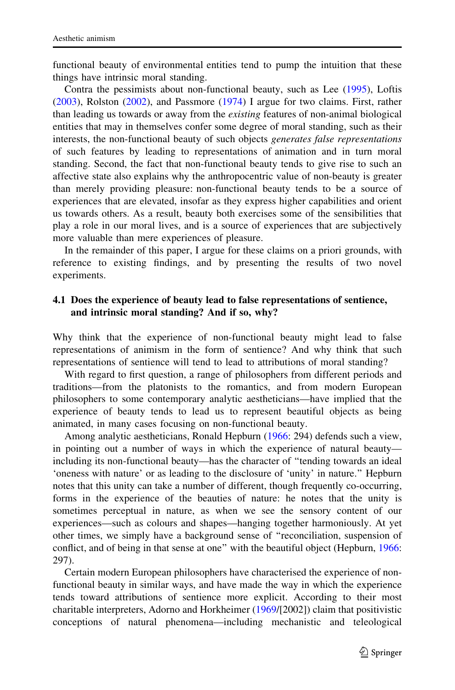<span id="page-10-0"></span>functional beauty of environmental entities tend to pump the intuition that these things have intrinsic moral standing.

Contra the pessimists about non-functional beauty, such as Lee ([1995\)](#page-34-0), Loftis [\(2003](#page-34-0)), Rolston ([2002\)](#page-34-0), and Passmore ([1974](#page-34-0)) I argue for two claims. First, rather than leading us towards or away from the existing features of non-animal biological entities that may in themselves confer some degree of moral standing, such as their interests, the non-functional beauty of such objects generates false representations of such features by leading to representations of animation and in turn moral standing. Second, the fact that non-functional beauty tends to give rise to such an affective state also explains why the anthropocentric value of non-beauty is greater than merely providing pleasure: non-functional beauty tends to be a source of experiences that are elevated, insofar as they express higher capabilities and orient us towards others. As a result, beauty both exercises some of the sensibilities that play a role in our moral lives, and is a source of experiences that are subjectively more valuable than mere experiences of pleasure.

In the remainder of this paper, I argue for these claims on a priori grounds, with reference to existing findings, and by presenting the results of two novel experiments.

#### 4.1 Does the experience of beauty lead to false representations of sentience, and intrinsic moral standing? And if so, why?

Why think that the experience of non-functional beauty might lead to false representations of animism in the form of sentience? And why think that such representations of sentience will tend to lead to attributions of moral standing?

With regard to first question, a range of philosophers from different periods and traditions—from the platonists to the romantics, and from modern European philosophers to some contemporary analytic aestheticians—have implied that the experience of beauty tends to lead us to represent beautiful objects as being animated, in many cases focusing on non-functional beauty.

Among analytic aestheticians, Ronald Hepburn [\(1966](#page-33-0): 294) defends such a view, in pointing out a number of ways in which the experience of natural beauty including its non-functional beauty—has the character of ''tending towards an ideal 'oneness with nature' or as leading to the disclosure of 'unity' in nature.'' Hepburn notes that this unity can take a number of different, though frequently co-occurring, forms in the experience of the beauties of nature: he notes that the unity is sometimes perceptual in nature, as when we see the sensory content of our experiences—such as colours and shapes—hanging together harmoniously. At yet other times, we simply have a background sense of ''reconciliation, suspension of conflict, and of being in that sense at one'' with the beautiful object (Hepburn, [1966:](#page-33-0) 297).

Certain modern European philosophers have characterised the experience of nonfunctional beauty in similar ways, and have made the way in which the experience tends toward attributions of sentience more explicit. According to their most charitable interpreters, Adorno and Horkheimer [\(1969](#page-32-0)/[2002]) claim that positivistic conceptions of natural phenomena—including mechanistic and teleological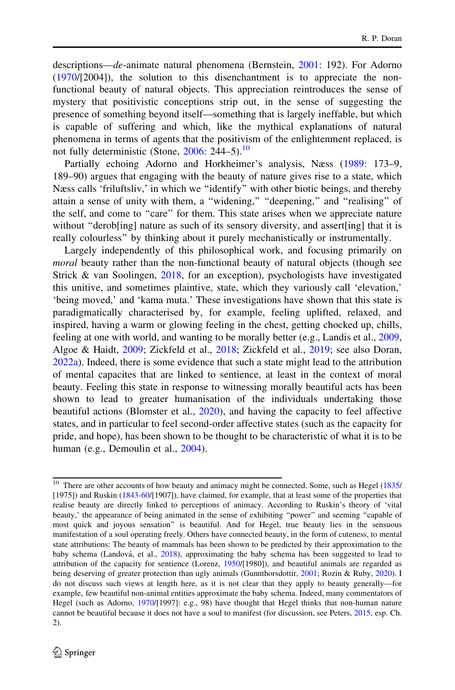descriptions—de-animate natural phenomena (Bernstein, [2001](#page-32-0): 192). For Adorno [\(1970](#page-32-0)/[2004]), the solution to this disenchantment is to appreciate the nonfunctional beauty of natural objects. This appreciation reintroduces the sense of mystery that positivistic conceptions strip out, in the sense of suggesting the presence of something beyond itself—something that is largely ineffable, but which is capable of suffering and which, like the mythical explanations of natural phenomena in terms of agents that the positivism of the enlightenment replaced, is not fully deterministic (Stone,  $2006$ : 244–5).<sup>10</sup>

Partially echoing Adorno and Horkheimer's analysis, Næss ([1989:](#page-34-0) 173–9, 189–90) argues that engaging with the beauty of nature gives rise to a state, which Næss calls 'friluftsliv,' in which we ''identify'' with other biotic beings, and thereby attain a sense of unity with them, a "widening," "deepening," and "realising" of the self, and come to ''care'' for them. This state arises when we appreciate nature without "derob[ing] nature as such of its sensory diversity, and assert[ing] that it is really colourless'' by thinking about it purely mechanistically or instrumentally.

Largely independently of this philosophical work, and focusing primarily on moral beauty rather than the non-functional beauty of natural objects (though see Strick & van Soolingen, [2018](#page-35-0), for an exception), psychologists have investigated this unitive, and sometimes plaintive, state, which they variously call 'elevation,' 'being moved,' and 'kama muta.' These investigations have shown that this state is paradigmatically characterised by, for example, feeling uplifted, relaxed, and inspired, having a warm or glowing feeling in the chest, getting chocked up, chills, feeling at one with world, and wanting to be morally better (e.g., Landis et al., [2009,](#page-34-0) Algoe & Haidt, [2009](#page-32-0); Zickfeld et al., [2018;](#page-35-0) Zickfeld et al., [2019;](#page-35-0) see also Doran, [2022a](#page-33-0)). Indeed, there is some evidence that such a state might lead to the attribution of mental capacites that are linked to sentience, at least in the context of moral beauty. Feeling this state in response to witnessing morally beautiful acts has been shown to lead to greater humanisation of the individuals undertaking those beautiful actions (Blomster et al., [2020](#page-32-0)), and having the capacity to feel affective states, and in particular to feel second-order affective states (such as the capacity for pride, and hope), has been shown to be thought to be characteristic of what it is to be human (e.g., Demoulin et al., [2004\)](#page-33-0).

<sup>&</sup>lt;sup>10</sup> There are other accounts of how beauty and animacy might be connected. Some, such as Hegel [\(1835](#page-33-0)/ [1975]) and Ruskin ([1843-60](#page-35-0)/[1907]), have claimed, for example, that at least some of the properties that realise beauty are directly linked to perceptions of animacy. According to Ruskin's theory of 'vital beauty,' the appearance of being animated in the sense of exhibiting ''power'' and seeming ''capable of most quick and joyous sensation'' is beautiful. And for Hegel, true beauty lies in the sensuous manifestation of a soul operating freely. Others have connected beauty, in the form of cuteness, to mental state attributions: The beauty of mammals has been shown to be predicted by their approximation to the baby schema (Landová, et al., [2018](#page-34-0)), approximating the baby schema has been suggested to lead to attribution of the capacity for sentience (Lorenz, [1950/](#page-34-0)[1980]), and beautiful animals are regarded as being deserving of greater protection than ugly animals (Gunnthorsdottir, [2001;](#page-33-0) Rozin & Ruby, [2020\)](#page-35-0). I do not discuss such views at length here, as it is not clear that they apply to beauty generally—for example, few beautiful non-animal entities approximate the baby schema. Indeed, many commentators of Hegel (such as Adorno, [1970/](#page-32-0)[1997]: e.g., 98) have thought that Hegel thinks that non-human nature cannot be beautiful because it does not have a soul to manifest (for discussion, see Peters, [2015](#page-34-0), esp. Ch. 2).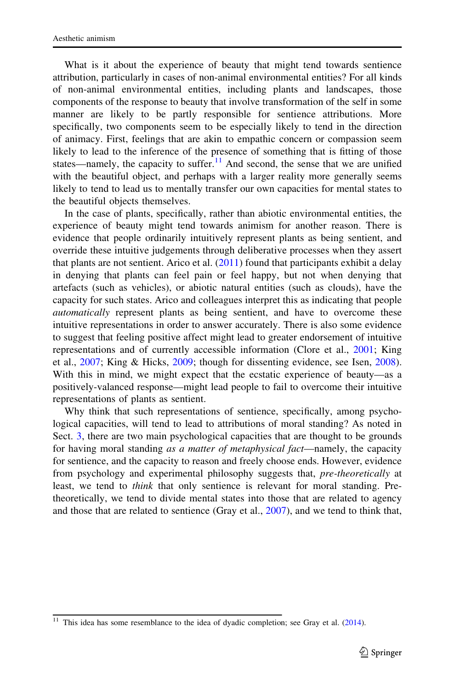What is it about the experience of beauty that might tend towards sentience attribution, particularly in cases of non-animal environmental entities? For all kinds of non-animal environmental entities, including plants and landscapes, those components of the response to beauty that involve transformation of the self in some manner are likely to be partly responsible for sentience attributions. More specifically, two components seem to be especially likely to tend in the direction of animacy. First, feelings that are akin to empathic concern or compassion seem likely to lead to the inference of the presence of something that is fitting of those states—namely, the capacity to suffer.<sup>11</sup> And second, the sense that we are unified with the beautiful object, and perhaps with a larger reality more generally seems likely to tend to lead us to mentally transfer our own capacities for mental states to the beautiful objects themselves.

In the case of plants, specifically, rather than abiotic environmental entities, the experience of beauty might tend towards animism for another reason. There is evidence that people ordinarily intuitively represent plants as being sentient, and override these intuitive judgements through deliberative processes when they assert that plants are not sentient. Arico et al.  $(2011)$  $(2011)$  found that participants exhibit a delay in denying that plants can feel pain or feel happy, but not when denying that artefacts (such as vehicles), or abiotic natural entities (such as clouds), have the capacity for such states. Arico and colleagues interpret this as indicating that people automatically represent plants as being sentient, and have to overcome these intuitive representations in order to answer accurately. There is also some evidence to suggest that feeling positive affect might lead to greater endorsement of intuitive representations and of currently accessible information (Clore et al., [2001](#page-33-0); King et al., [2007](#page-34-0); King & Hicks, [2009;](#page-34-0) though for dissenting evidence, see Isen, [2008\)](#page-33-0). With this in mind, we might expect that the ecstatic experience of beauty—as a positively-valanced response—might lead people to fail to overcome their intuitive representations of plants as sentient.

Why think that such representations of sentience, specifically, among psychological capacities, will tend to lead to attributions of moral standing? As noted in Sect. [3](#page-2-0), there are two main psychological capacities that are thought to be grounds for having moral standing as a matter of metaphysical fact—namely, the capacity for sentience, and the capacity to reason and freely choose ends. However, evidence from psychology and experimental philosophy suggests that, pre-theoretically at least, we tend to *think* that only sentience is relevant for moral standing. Pretheoretically, we tend to divide mental states into those that are related to agency and those that are related to sentience (Gray et al., [2007\)](#page-33-0), and we tend to think that,

This idea has some resemblance to the idea of dyadic completion; see Gray et al. [\(2014](#page-33-0)).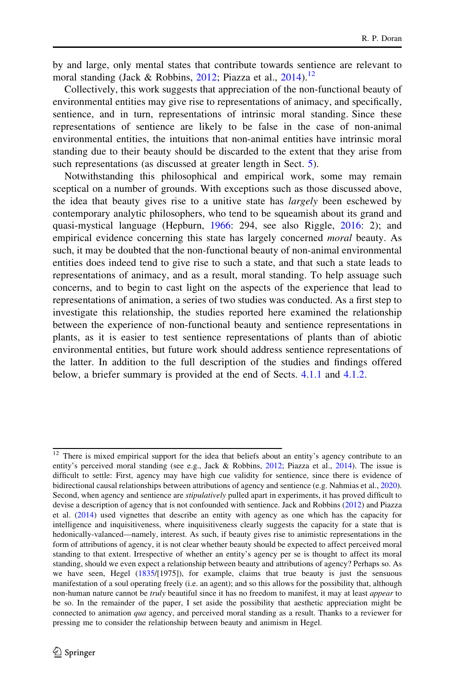by and large, only mental states that contribute towards sentience are relevant to moral standing (Jack & Robbins, [2012;](#page-33-0) Piazza et al.,  $2014$ ).<sup>12</sup>

Collectively, this work suggests that appreciation of the non-functional beauty of environmental entities may give rise to representations of animacy, and specifically, sentience, and in turn, representations of intrinsic moral standing. Since these representations of sentience are likely to be false in the case of non-animal environmental entities, the intuitions that non-animal entities have intrinsic moral standing due to their beauty should be discarded to the extent that they arise from such representations (as discussed at greater length in Sect. [5\)](#page-26-0).

Notwithstanding this philosophical and empirical work, some may remain sceptical on a number of grounds. With exceptions such as those discussed above, the idea that beauty gives rise to a unitive state has largely been eschewed by contemporary analytic philosophers, who tend to be squeamish about its grand and quasi-mystical language (Hepburn, [1966:](#page-33-0) 294, see also Riggle, [2016:](#page-34-0) 2); and empirical evidence concerning this state has largely concerned *moral* beauty. As such, it may be doubted that the non-functional beauty of non-animal environmental entities does indeed tend to give rise to such a state, and that such a state leads to representations of animacy, and as a result, moral standing. To help assuage such concerns, and to begin to cast light on the aspects of the experience that lead to representations of animation, a series of two studies was conducted. As a first step to investigate this relationship, the studies reported here examined the relationship between the experience of non-functional beauty and sentience representations in plants, as it is easier to test sentience representations of plants than of abiotic environmental entities, but future work should address sentience representations of the latter. In addition to the full description of the studies and findings offered below, a briefer summary is provided at the end of Sects. [4.1.1](#page-14-0) and [4.1.2](#page-20-0).

<sup>&</sup>lt;sup>12</sup> There is mixed empirical support for the idea that beliefs about an entity's agency contribute to an entity's perceived moral standing (see e.g., Jack & Robbins, [2012](#page-33-0); Piazza et al., [2014](#page-34-0)). The issue is difficult to settle: First, agency may have high cue validity for sentience, since there is evidence of bidirectional causal relationships between attributions of agency and sentience (e.g. Nahmias et al., [2020\)](#page-34-0). Second, when agency and sentience are *stipulatively* pulled apart in experiments, it has proved difficult to devise a description of agency that is not confounded with sentience. Jack and Robbins [\(2012](#page-33-0)) and Piazza et al. ([2014\)](#page-34-0) used vignettes that describe an entity with agency as one which has the capacity for intelligence and inquisitiveness, where inquisitiveness clearly suggests the capacity for a state that is hedonically-valanced—namely, interest. As such, if beauty gives rise to animistic representations in the form of attributions of agency, it is not clear whether beauty should be expected to affect perceived moral standing to that extent. Irrespective of whether an entity's agency per se is thought to affect its moral standing, should we even expect a relationship between beauty and attributions of agency? Perhaps so. As we have seen, Hegel ([1835](#page-33-0)/[1975]), for example, claims that true beauty is just the sensuous manifestation of a soul operating freely (i.e. an agent); and so this allows for the possibility that, although non-human nature cannot be *truly* beautiful since it has no freedom to manifest, it may at least *appear* to be so. In the remainder of the paper, I set aside the possibility that aesthetic appreciation might be connected to animation qua agency, and perceived moral standing as a result. Thanks to a reviewer for pressing me to consider the relationship between beauty and animism in Hegel.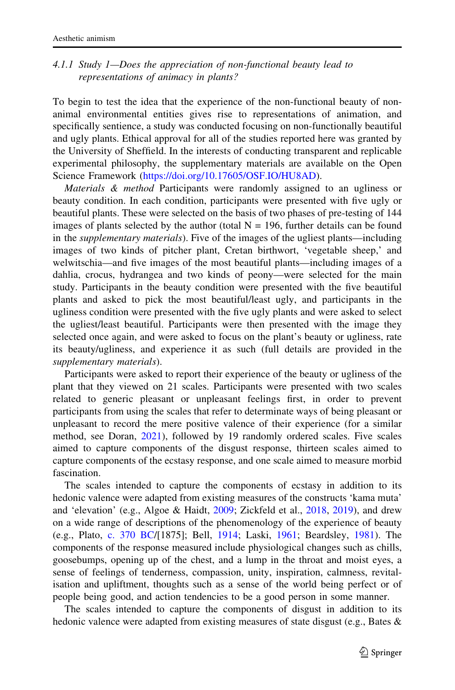# <span id="page-14-0"></span>4.1.1 Study 1—Does the appreciation of non-functional beauty lead to representations of animacy in plants?

To begin to test the idea that the experience of the non-functional beauty of nonanimal environmental entities gives rise to representations of animation, and specifically sentience, a study was conducted focusing on non-functionally beautiful and ugly plants. Ethical approval for all of the studies reported here was granted by the University of Sheffield. In the interests of conducting transparent and replicable experimental philosophy, the supplementary materials are available on the Open Science Framework [\(https://doi.org/10.17605/OSF.IO/HU8AD](https://doi.org/10.17605/OSF.IO/HU8AD)).

Materials & method Participants were randomly assigned to an ugliness or beauty condition. In each condition, participants were presented with five ugly or beautiful plants. These were selected on the basis of two phases of pre-testing of 144 images of plants selected by the author (total  $N = 196$ , further details can be found in the *supplementary materials*). Five of the images of the ugliest plants—including images of two kinds of pitcher plant, Cretan birthwort, 'vegetable sheep,' and welwitschia—and five images of the most beautiful plants—including images of a dahlia, crocus, hydrangea and two kinds of peony—were selected for the main study. Participants in the beauty condition were presented with the five beautiful plants and asked to pick the most beautiful/least ugly, and participants in the ugliness condition were presented with the five ugly plants and were asked to select the ugliest/least beautiful. Participants were then presented with the image they selected once again, and were asked to focus on the plant's beauty or ugliness, rate its beauty/ugliness, and experience it as such (full details are provided in the supplementary materials).

Participants were asked to report their experience of the beauty or ugliness of the plant that they viewed on 21 scales. Participants were presented with two scales related to generic pleasant or unpleasant feelings first, in order to prevent participants from using the scales that refer to determinate ways of being pleasant or unpleasant to record the mere positive valence of their experience (for a similar method, see Doran, [2021](#page-33-0)), followed by 19 randomly ordered scales. Five scales aimed to capture components of the disgust response, thirteen scales aimed to capture components of the ecstasy response, and one scale aimed to measure morbid fascination.

The scales intended to capture the components of ecstasy in addition to its hedonic valence were adapted from existing measures of the constructs 'kama muta' and 'elevation' (e.g., Algoe & Haidt, [2009](#page-32-0); Zickfeld et al., [2018,](#page-35-0) [2019](#page-35-0)), and drew on a wide range of descriptions of the phenomenology of the experience of beauty (e.g., Plato, [c. 370 BC/](#page-34-0)[1875]; Bell, [1914](#page-32-0); Laski, [1961](#page-34-0); Beardsley, [1981](#page-32-0)). The components of the response measured include physiological changes such as chills, goosebumps, opening up of the chest, and a lump in the throat and moist eyes, a sense of feelings of tenderness, compassion, unity, inspiration, calmness, revitalisation and upliftment, thoughts such as a sense of the world being perfect or of people being good, and action tendencies to be a good person in some manner.

The scales intended to capture the components of disgust in addition to its hedonic valence were adapted from existing measures of state disgust (e.g., Bates &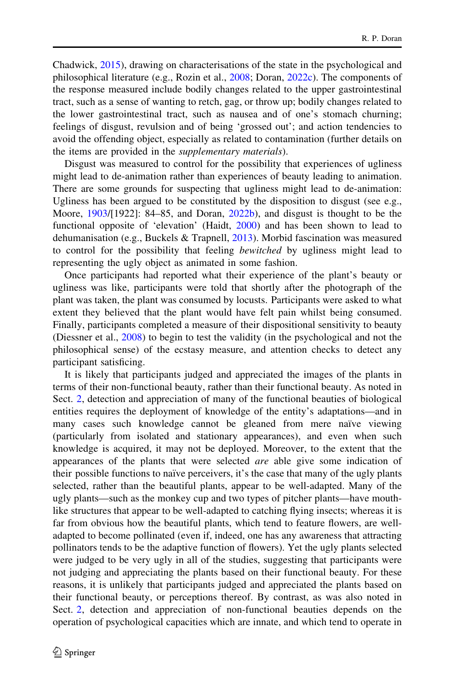Chadwick, [2015\)](#page-32-0), drawing on characterisations of the state in the psychological and philosophical literature (e.g., Rozin et al., [2008;](#page-34-0) Doran, [2022c\)](#page-33-0). The components of the response measured include bodily changes related to the upper gastrointestinal tract, such as a sense of wanting to retch, gag, or throw up; bodily changes related to the lower gastrointestinal tract, such as nausea and of one's stomach churning; feelings of disgust, revulsion and of being 'grossed out'; and action tendencies to avoid the offending object, especially as related to contamination (further details on the items are provided in the supplementary materials).

Disgust was measured to control for the possibility that experiences of ugliness might lead to de-animation rather than experiences of beauty leading to animation. There are some grounds for suspecting that ugliness might lead to de-animation: Ugliness has been argued to be constituted by the disposition to disgust (see e.g., Moore,  $1903/[1922]$  $1903/[1922]$ : 84–85, and Doran,  $2022b$ ), and disgust is thought to be the functional opposite of 'elevation' (Haidt, [2000](#page-33-0)) and has been shown to lead to dehumanisation (e.g., Buckels  $\&$  Trapnell, [2013](#page-32-0)). Morbid fascination was measured to control for the possibility that feeling *bewitched* by ugliness might lead to representing the ugly object as animated in some fashion.

Once participants had reported what their experience of the plant's beauty or ugliness was like, participants were told that shortly after the photograph of the plant was taken, the plant was consumed by locusts. Participants were asked to what extent they believed that the plant would have felt pain whilst being consumed. Finally, participants completed a measure of their dispositional sensitivity to beauty (Diessner et al., [2008](#page-33-0)) to begin to test the validity (in the psychological and not the philosophical sense) of the ecstasy measure, and attention checks to detect any participant satisficing.

It is likely that participants judged and appreciated the images of the plants in terms of their non-functional beauty, rather than their functional beauty. As noted in Sect. [2](#page-2-0), detection and appreciation of many of the functional beauties of biological entities requires the deployment of knowledge of the entity's adaptations—and in many cases such knowledge cannot be gleaned from mere naïve viewing (particularly from isolated and stationary appearances), and even when such knowledge is acquired, it may not be deployed. Moreover, to the extent that the appearances of the plants that were selected are able give some indication of their possible functions to naïve perceivers, it's the case that many of the ugly plants selected, rather than the beautiful plants, appear to be well-adapted. Many of the ugly plants—such as the monkey cup and two types of pitcher plants—have mouthlike structures that appear to be well-adapted to catching flying insects; whereas it is far from obvious how the beautiful plants, which tend to feature flowers, are welladapted to become pollinated (even if, indeed, one has any awareness that attracting pollinators tends to be the adaptive function of flowers). Yet the ugly plants selected were judged to be very ugly in all of the studies, suggesting that participants were not judging and appreciating the plants based on their functional beauty. For these reasons, it is unlikely that participants judged and appreciated the plants based on their functional beauty, or perceptions thereof. By contrast, as was also noted in Sect. [2](#page-2-0), detection and appreciation of non-functional beauties depends on the operation of psychological capacities which are innate, and which tend to operate in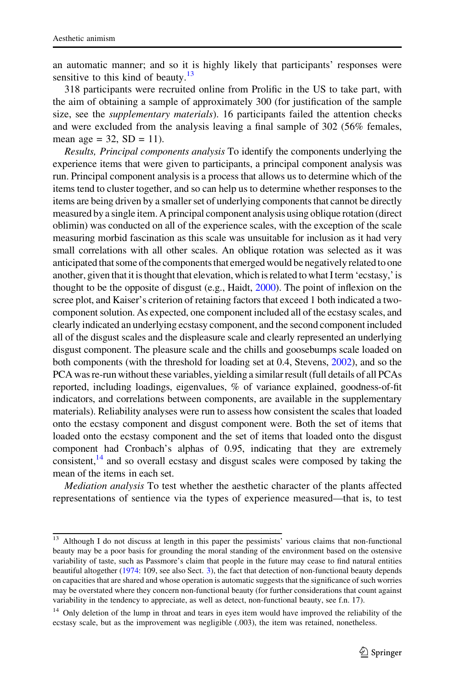an automatic manner; and so it is highly likely that participants' responses were sensitive to this kind of beauty. $13$ 

318 participants were recruited online from Prolific in the US to take part, with the aim of obtaining a sample of approximately 300 (for justification of the sample size, see the *supplementary materials*). 16 participants failed the attention checks and were excluded from the analysis leaving a final sample of 302 (56% females, mean age =  $32$ , SD = 11).

Results, Principal components analysis To identify the components underlying the experience items that were given to participants, a principal component analysis was run. Principal component analysis is a process that allows us to determine which of the items tend to cluster together, and so can help us to determine whether responses to the items are being driven by a smaller set of underlying components that cannot be directly measured by a single item. A principal component analysis using oblique rotation (direct oblimin) was conducted on all of the experience scales, with the exception of the scale measuring morbid fascination as this scale was unsuitable for inclusion as it had very small correlations with all other scales. An oblique rotation was selected as it was anticipated that some of the components that emerged would be negatively related to one another, given that it is thought that elevation, which is related to what I term 'ecstasy,' is thought to be the opposite of disgust (e.g., Haidt, [2000](#page-33-0)). The point of inflexion on the scree plot, and Kaiser's criterion of retaining factors that exceed 1 both indicated a twocomponent solution. As expected, one component included all of the ecstasy scales, and clearly indicated an underlying ecstasy component, and the second component included all of the disgust scales and the displeasure scale and clearly represented an underlying disgust component. The pleasure scale and the chills and goosebumps scale loaded on both components (with the threshold for loading set at 0.4, Stevens, [2002\)](#page-35-0), and so the PCA was re-run without these variables, yielding a similar result (full details of all PCAs reported, including loadings, eigenvalues, % of variance explained, goodness-of-fit indicators, and correlations between components, are available in the supplementary materials). Reliability analyses were run to assess how consistent the scales that loaded onto the ecstasy component and disgust component were. Both the set of items that loaded onto the ecstasy component and the set of items that loaded onto the disgust component had Cronbach's alphas of 0.95, indicating that they are extremely consistent, $14$  and so overall ecstasy and disgust scales were composed by taking the mean of the items in each set.

Mediation analysis To test whether the aesthetic character of the plants affected representations of sentience via the types of experience measured—that is, to test

<sup>&</sup>lt;sup>13</sup> Although I do not discuss at length in this paper the pessimists' various claims that non-functional beauty may be a poor basis for grounding the moral standing of the environment based on the ostensive variability of taste, such as Passmore's claim that people in the future may cease to find natural entities beautiful altogether [\(1974:](#page-34-0) 109, see also Sect. [3\)](#page-5-0), the fact that detection of non-functional beauty depends on capacities that are shared and whose operation is automatic suggests that the significance of such worries may be overstated where they concern non-functional beauty (for further considerations that count against variability in the tendency to appreciate, as well as detect, non-functional beauty, see f.n. 17).

<sup>&</sup>lt;sup>14</sup> Only deletion of the lump in throat and tears in eyes item would have improved the reliability of the ecstasy scale, but as the improvement was negligible (.003), the item was retained, nonetheless.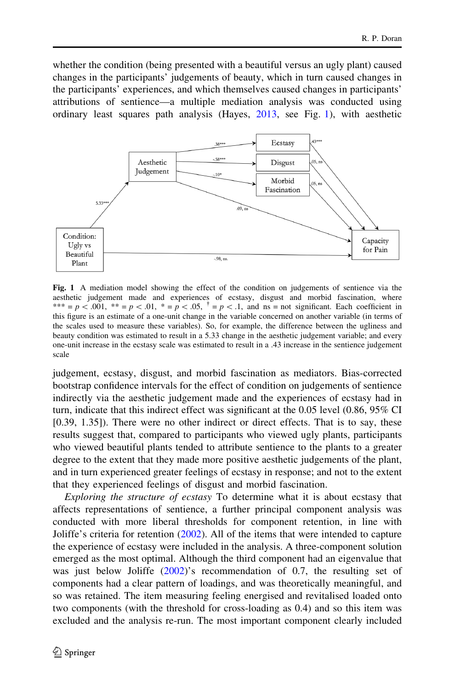whether the condition (being presented with a beautiful versus an ugly plant) caused changes in the participants' judgements of beauty, which in turn caused changes in the participants' experiences, and which themselves caused changes in participants' attributions of sentience—a multiple mediation analysis was conducted using ordinary least squares path analysis (Hayes, [2013,](#page-33-0) see Fig. 1), with aesthetic



Fig. 1 A mediation model showing the effect of the condition on judgements of sentience via the aesthetic judgement made and experiences of ecstasy, disgust and morbid fascination, where \*\*\* = p < .001, \*\* = p < .01, \* = p < .05,  $\dot{ }$  = p < .1, and ns = not significant. Each coefficient in this figure is an estimate of a one-unit change in the variable concerned on another variable (in terms of the scales used to measure these variables). So, for example, the difference between the ugliness and beauty condition was estimated to result in a 5.33 change in the aesthetic judgement variable; and every one-unit increase in the ecstasy scale was estimated to result in a .43 increase in the sentience judgement scale

judgement, ecstasy, disgust, and morbid fascination as mediators. Bias-corrected bootstrap confidence intervals for the effect of condition on judgements of sentience indirectly via the aesthetic judgement made and the experiences of ecstasy had in turn, indicate that this indirect effect was significant at the 0.05 level (0.86, 95% CI [0.39, 1.35]). There were no other indirect or direct effects. That is to say, these results suggest that, compared to participants who viewed ugly plants, participants who viewed beautiful plants tended to attribute sentience to the plants to a greater degree to the extent that they made more positive aesthetic judgements of the plant, and in turn experienced greater feelings of ecstasy in response; and not to the extent that they experienced feelings of disgust and morbid fascination.

Exploring the structure of ecstasy To determine what it is about ecstasy that affects representations of sentience, a further principal component analysis was conducted with more liberal thresholds for component retention, in line with Joliffe's criteria for retention ([2002\)](#page-33-0). All of the items that were intended to capture the experience of ecstasy were included in the analysis. A three-component solution emerged as the most optimal. Although the third component had an eigenvalue that was just below Joliffe  $(2002)$  $(2002)$ 's recommendation of 0.7, the resulting set of components had a clear pattern of loadings, and was theoretically meaningful, and so was retained. The item measuring feeling energised and revitalised loaded onto two components (with the threshold for cross-loading as 0.4) and so this item was excluded and the analysis re-run. The most important component clearly included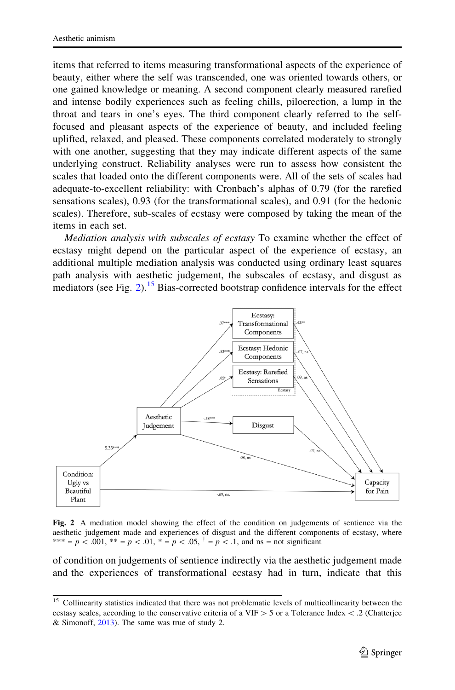items that referred to items measuring transformational aspects of the experience of beauty, either where the self was transcended, one was oriented towards others, or one gained knowledge or meaning. A second component clearly measured rarefied and intense bodily experiences such as feeling chills, piloerection, a lump in the throat and tears in one's eyes. The third component clearly referred to the selffocused and pleasant aspects of the experience of beauty, and included feeling uplifted, relaxed, and pleased. These components correlated moderately to strongly with one another, suggesting that they may indicate different aspects of the same underlying construct. Reliability analyses were run to assess how consistent the scales that loaded onto the different components were. All of the sets of scales had adequate-to-excellent reliability: with Cronbach's alphas of 0.79 (for the rarefied sensations scales), 0.93 (for the transformational scales), and 0.91 (for the hedonic scales). Therefore, sub-scales of ecstasy were composed by taking the mean of the items in each set.

Mediation analysis with subscales of ecstasy To examine whether the effect of ecstasy might depend on the particular aspect of the experience of ecstasy, an additional multiple mediation analysis was conducted using ordinary least squares path analysis with aesthetic judgement, the subscales of ecstasy, and disgust as mediators (see Fig. 2).<sup>15</sup> Bias-corrected bootstrap confidence intervals for the effect



Fig. 2 A mediation model showing the effect of the condition on judgements of sentience via the aesthetic judgement made and experiences of disgust and the different components of ecstasy, where \*\*\* = p < .001, \*\* = p < .01, \* = p < .05,  $\bar{f} = p \lt 0.1$ , and ns = not significant

of condition on judgements of sentience indirectly via the aesthetic judgement made and the experiences of transformational ecstasy had in turn, indicate that this

<sup>&</sup>lt;sup>15</sup> Collinearity statistics indicated that there was not problematic levels of multicollinearity between the ecstasy scales, according to the conservative criteria of a VIF  $>$  5 or a Tolerance Index < .2 (Chatterjee & Simonoff, [2013](#page-33-0)). The same was true of study 2.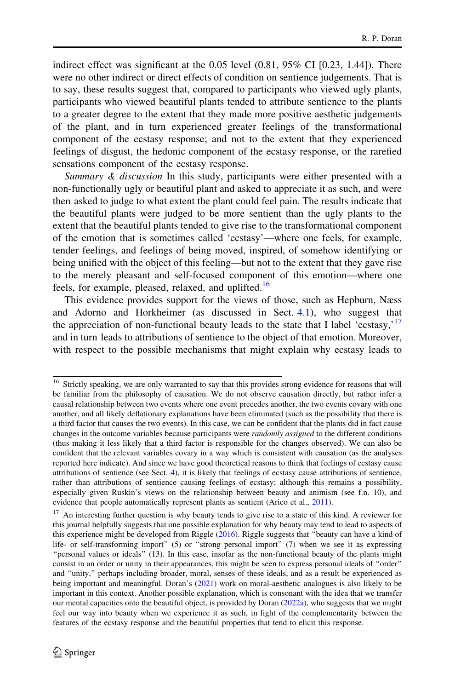indirect effect was significant at the  $0.05$  level  $(0.81, 95\% \text{ CI } [0.23, 1.44])$ . There were no other indirect or direct effects of condition on sentience judgements. That is to say, these results suggest that, compared to participants who viewed ugly plants, participants who viewed beautiful plants tended to attribute sentience to the plants to a greater degree to the extent that they made more positive aesthetic judgements of the plant, and in turn experienced greater feelings of the transformational component of the ecstasy response; and not to the extent that they experienced feelings of disgust, the hedonic component of the ecstasy response, or the rarefied sensations component of the ecstasy response.

Summary  $\&$  discussion In this study, participants were either presented with a non-functionally ugly or beautiful plant and asked to appreciate it as such, and were then asked to judge to what extent the plant could feel pain. The results indicate that the beautiful plants were judged to be more sentient than the ugly plants to the extent that the beautiful plants tended to give rise to the transformational component of the emotion that is sometimes called 'ecstasy'—where one feels, for example, tender feelings, and feelings of being moved, inspired, of somehow identifying or being unified with the object of this feeling—but not to the extent that they gave rise to the merely pleasant and self-focused component of this emotion—where one feels, for example, pleased, relaxed, and uplifted.<sup>16</sup>

This evidence provides support for the views of those, such as Hepburn, Næss and Adorno and Horkheimer (as discussed in Sect. [4.1\)](#page-10-0), who suggest that the appreciation of non-functional beauty leads to the state that I label 'ecstasy, $17$ and in turn leads to attributions of sentience to the object of that emotion. Moreover, with respect to the possible mechanisms that might explain why ecstasy leads to

<sup>&</sup>lt;sup>16</sup> Strictly speaking, we are only warranted to say that this provides strong evidence for reasons that will be familiar from the philosophy of causation. We do not observe causation directly, but rather infer a causal relationship between two events where one event precedes another, the two events covary with one another, and all likely deflationary explanations have been eliminated (such as the possibility that there is a third factor that causes the two events). In this case, we can be confident that the plants did in fact cause changes in the outcome variables because participants were *randomly assigned* to the different conditions (thus making it less likely that a third factor is responsible for the changes observed). We can also be confident that the relevant variables covary in a way which is consistent with causation (as the analyses reported here indicate). And since we have good theoretical reasons to think that feelings of ecstasy cause attributions of sentience (see Sect. [4\)](#page-9-0), it is likely that feelings of ecstasy cause attributions of sentience, rather than attributions of sentience causing feelings of ecstasy; although this remains a possibility, especially given Ruskin's views on the relationship between beauty and animism (see f.n. 10), and evidence that people automatically represent plants as sentient (Arico et al., [2011](#page-32-0)).

 $17$  An interesting further question is why beauty tends to give rise to a state of this kind. A reviewer for this journal helpfully suggests that one possible explanation for why beauty may tend to lead to aspects of this experience might be developed from Riggle [\(2016](#page-34-0)). Riggle suggests that ''beauty can have a kind of life- or self-transforming import'' (5) or ''strong personal import'' (7) when we see it as expressing ''personal values or ideals'' (13). In this case, insofar as the non-functional beauty of the plants might consist in an order or unity in their appearances, this might be seen to express personal ideals of ''order'' and ''unity,'' perhaps including broader, moral, senses of these ideals, and as a result be experienced as being important and meaningful. Doran's ([2021\)](#page-33-0) work on moral-aesthetic analogues is also likely to be important in this context. Another possible explanation, which is consonant with the idea that we transfer our mental capacities onto the beautiful object, is provided by Doran [\(2022a\)](#page-33-0), who suggests that we might feel our way into beauty when we experience it as such, in light of the complementarity between the features of the ecstasy response and the beautiful properties that tend to elicit this response.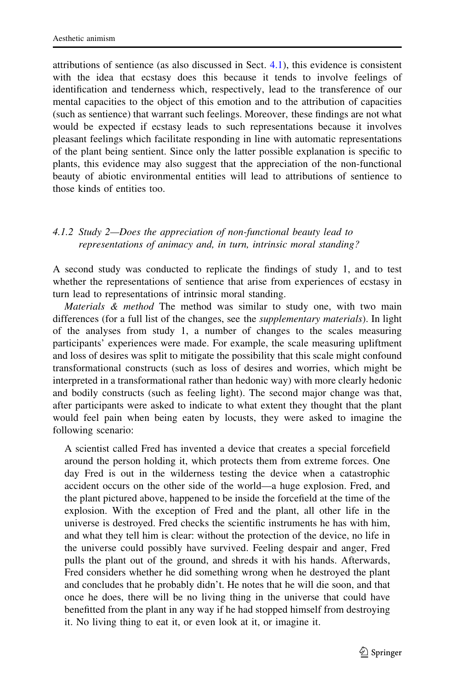<span id="page-20-0"></span>attributions of sentience (as also discussed in Sect. [4.1](#page-10-0)), this evidence is consistent with the idea that ecstasy does this because it tends to involve feelings of identification and tenderness which, respectively, lead to the transference of our mental capacities to the object of this emotion and to the attribution of capacities (such as sentience) that warrant such feelings. Moreover, these findings are not what would be expected if ecstasy leads to such representations because it involves pleasant feelings which facilitate responding in line with automatic representations of the plant being sentient. Since only the latter possible explanation is specific to plants, this evidence may also suggest that the appreciation of the non-functional beauty of abiotic environmental entities will lead to attributions of sentience to those kinds of entities too.

#### 4.1.2 Study 2—Does the appreciation of non-functional beauty lead to representations of animacy and, in turn, intrinsic moral standing?

A second study was conducted to replicate the findings of study 1, and to test whether the representations of sentience that arise from experiences of ecstasy in turn lead to representations of intrinsic moral standing.

Materials & method The method was similar to study one, with two main differences (for a full list of the changes, see the supplementary materials). In light of the analyses from study 1, a number of changes to the scales measuring participants' experiences were made. For example, the scale measuring upliftment and loss of desires was split to mitigate the possibility that this scale might confound transformational constructs (such as loss of desires and worries, which might be interpreted in a transformational rather than hedonic way) with more clearly hedonic and bodily constructs (such as feeling light). The second major change was that, after participants were asked to indicate to what extent they thought that the plant would feel pain when being eaten by locusts, they were asked to imagine the following scenario:

A scientist called Fred has invented a device that creates a special forcefield around the person holding it, which protects them from extreme forces. One day Fred is out in the wilderness testing the device when a catastrophic accident occurs on the other side of the world—a huge explosion. Fred, and the plant pictured above, happened to be inside the forcefield at the time of the explosion. With the exception of Fred and the plant, all other life in the universe is destroyed. Fred checks the scientific instruments he has with him, and what they tell him is clear: without the protection of the device, no life in the universe could possibly have survived. Feeling despair and anger, Fred pulls the plant out of the ground, and shreds it with his hands. Afterwards, Fred considers whether he did something wrong when he destroyed the plant and concludes that he probably didn't. He notes that he will die soon, and that once he does, there will be no living thing in the universe that could have benefitted from the plant in any way if he had stopped himself from destroying it. No living thing to eat it, or even look at it, or imagine it.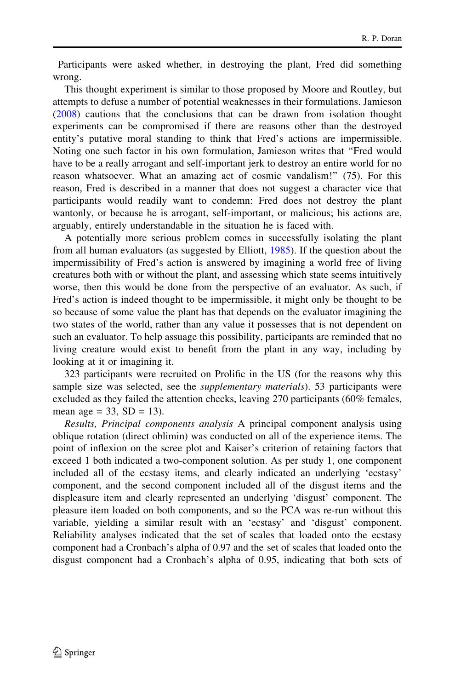Participants were asked whether, in destroying the plant, Fred did something wrong.

This thought experiment is similar to those proposed by Moore and Routley, but attempts to defuse a number of potential weaknesses in their formulations. Jamieson [\(2008](#page-33-0)) cautions that the conclusions that can be drawn from isolation thought experiments can be compromised if there are reasons other than the destroyed entity's putative moral standing to think that Fred's actions are impermissible. Noting one such factor in his own formulation, Jamieson writes that ''Fred would have to be a really arrogant and self-important jerk to destroy an entire world for no reason whatsoever. What an amazing act of cosmic vandalism!'' (75). For this reason, Fred is described in a manner that does not suggest a character vice that participants would readily want to condemn: Fred does not destroy the plant wantonly, or because he is arrogant, self-important, or malicious; his actions are, arguably, entirely understandable in the situation he is faced with.

A potentially more serious problem comes in successfully isolating the plant from all human evaluators (as suggested by Elliott, [1985\)](#page-33-0). If the question about the impermissibility of Fred's action is answered by imagining a world free of living creatures both with or without the plant, and assessing which state seems intuitively worse, then this would be done from the perspective of an evaluator. As such, if Fred's action is indeed thought to be impermissible, it might only be thought to be so because of some value the plant has that depends on the evaluator imagining the two states of the world, rather than any value it possesses that is not dependent on such an evaluator. To help assuage this possibility, participants are reminded that no living creature would exist to benefit from the plant in any way, including by looking at it or imagining it.

323 participants were recruited on Prolific in the US (for the reasons why this sample size was selected, see the *supplementary materials*). 53 participants were excluded as they failed the attention checks, leaving 270 participants (60% females, mean age = 33,  $SD = 13$ ).

Results, Principal components analysis A principal component analysis using oblique rotation (direct oblimin) was conducted on all of the experience items. The point of inflexion on the scree plot and Kaiser's criterion of retaining factors that exceed 1 both indicated a two-component solution. As per study 1, one component included all of the ecstasy items, and clearly indicated an underlying 'ecstasy' component, and the second component included all of the disgust items and the displeasure item and clearly represented an underlying 'disgust' component. The pleasure item loaded on both components, and so the PCA was re-run without this variable, yielding a similar result with an 'ecstasy' and 'disgust' component. Reliability analyses indicated that the set of scales that loaded onto the ecstasy component had a Cronbach's alpha of 0.97 and the set of scales that loaded onto the disgust component had a Cronbach's alpha of 0.95, indicating that both sets of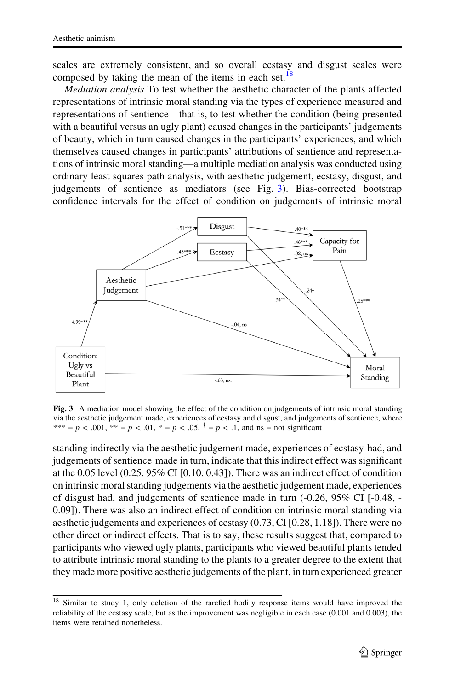scales are extremely consistent, and so overall ecstasy and disgust scales were composed by taking the mean of the items in each set.<sup>18</sup>

Mediation analysis To test whether the aesthetic character of the plants affected representations of intrinsic moral standing via the types of experience measured and representations of sentience—that is, to test whether the condition (being presented with a beautiful versus an ugly plant) caused changes in the participants' judgements of beauty, which in turn caused changes in the participants' experiences, and which themselves caused changes in participants' attributions of sentience and representations of intrinsic moral standing—a multiple mediation analysis was conducted using ordinary least squares path analysis, with aesthetic judgement, ecstasy, disgust, and judgements of sentience as mediators (see Fig. 3). Bias-corrected bootstrap confidence intervals for the effect of condition on judgements of intrinsic moral



Fig. 3 A mediation model showing the effect of the condition on judgements of intrinsic moral standing via the aesthetic judgement made, experiences of ecstasy and disgust, and judgements of sentience, where \*\*\* = p < .001, \*\* = p < .01, \* = p < .05,  $\bar{f} = p$  < .1, and ns = not significant

standing indirectly via the aesthetic judgement made, experiences of ecstasy had, and judgements of sentience made in turn, indicate that this indirect effect was significant at the 0.05 level (0.25, 95% CI [0.10, 0.43]). There was an indirect effect of condition on intrinsic moral standing judgements via the aesthetic judgement made, experiences of disgust had, and judgements of sentience made in turn  $(-0.26, 95\% \text{ CI } [-0.48, -1.00]$ 0.09]). There was also an indirect effect of condition on intrinsic moral standing via aesthetic judgements and experiences of ecstasy (0.73, CI [0.28, 1.18]). There were no other direct or indirect effects. That is to say, these results suggest that, compared to participants who viewed ugly plants, participants who viewed beautiful plants tended to attribute intrinsic moral standing to the plants to a greater degree to the extent that they made more positive aesthetic judgements of the plant, in turn experienced greater

<sup>&</sup>lt;sup>18</sup> Similar to study 1, only deletion of the rarefied bodily response items would have improved the reliability of the ecstasy scale, but as the improvement was negligible in each case (0.001 and 0.003), the items were retained nonetheless.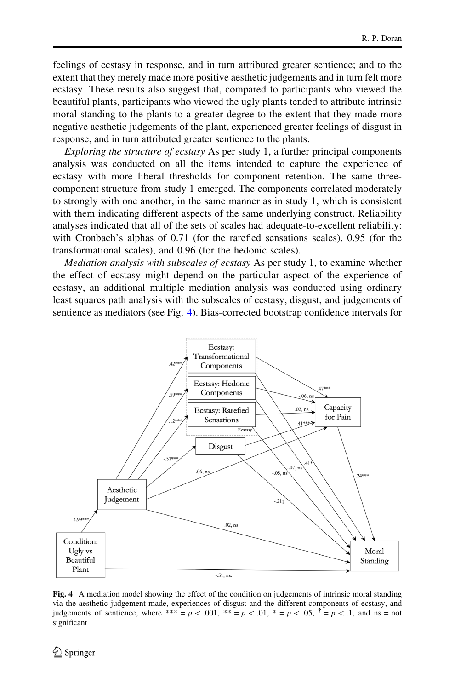feelings of ecstasy in response, and in turn attributed greater sentience; and to the extent that they merely made more positive aesthetic judgements and in turn felt more ecstasy. These results also suggest that, compared to participants who viewed the beautiful plants, participants who viewed the ugly plants tended to attribute intrinsic moral standing to the plants to a greater degree to the extent that they made more negative aesthetic judgements of the plant, experienced greater feelings of disgust in response, and in turn attributed greater sentience to the plants.

Exploring the structure of ecstasy As per study 1, a further principal components analysis was conducted on all the items intended to capture the experience of ecstasy with more liberal thresholds for component retention. The same threecomponent structure from study 1 emerged. The components correlated moderately to strongly with one another, in the same manner as in study 1, which is consistent with them indicating different aspects of the same underlying construct. Reliability analyses indicated that all of the sets of scales had adequate-to-excellent reliability: with Cronbach's alphas of 0.71 (for the rarefied sensations scales), 0.95 (for the transformational scales), and 0.96 (for the hedonic scales).

Mediation analysis with subscales of ecstasy As per study 1, to examine whether the effect of ecstasy might depend on the particular aspect of the experience of ecstasy, an additional multiple mediation analysis was conducted using ordinary least squares path analysis with the subscales of ecstasy, disgust, and judgements of sentience as mediators (see Fig. 4). Bias-corrected bootstrap confidence intervals for



Fig. 4 A mediation model showing the effect of the condition on judgements of intrinsic moral standing via the aesthetic judgement made, experiences of disgust and the different components of ecstasy, and judgements of sentience, where \*\*\* = p < .001, \*\* = p < .01, \* = p < .05,  $\hat{f} = p \lt 0.1$ , and ns = not significant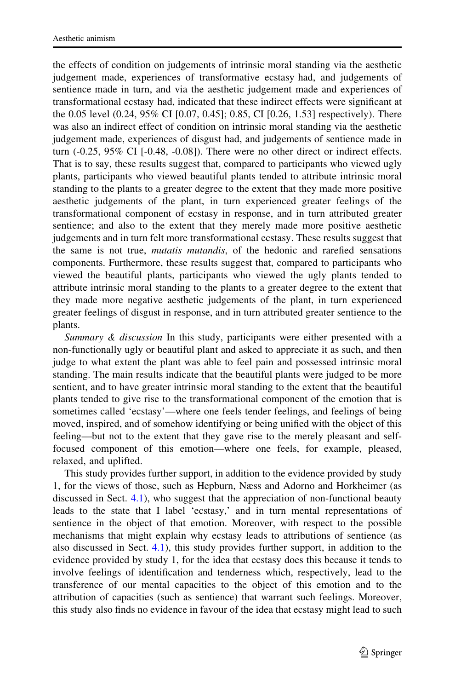the effects of condition on judgements of intrinsic moral standing via the aesthetic judgement made, experiences of transformative ecstasy had, and judgements of sentience made in turn, and via the aesthetic judgement made and experiences of transformational ecstasy had, indicated that these indirect effects were significant at the 0.05 level (0.24, 95% CI [0.07, 0.45]; 0.85, CI [0.26, 1.53] respectively). There was also an indirect effect of condition on intrinsic moral standing via the aesthetic judgement made, experiences of disgust had, and judgements of sentience made in turn  $(-0.25, 95\% \text{ CI } [-0.48, -0.08])$ . There were no other direct or indirect effects. That is to say, these results suggest that, compared to participants who viewed ugly plants, participants who viewed beautiful plants tended to attribute intrinsic moral standing to the plants to a greater degree to the extent that they made more positive aesthetic judgements of the plant, in turn experienced greater feelings of the transformational component of ecstasy in response, and in turn attributed greater sentience; and also to the extent that they merely made more positive aesthetic judgements and in turn felt more transformational ecstasy. These results suggest that the same is not true, mutatis mutandis, of the hedonic and rarefied sensations components. Furthermore, these results suggest that, compared to participants who viewed the beautiful plants, participants who viewed the ugly plants tended to attribute intrinsic moral standing to the plants to a greater degree to the extent that they made more negative aesthetic judgements of the plant, in turn experienced greater feelings of disgust in response, and in turn attributed greater sentience to the plants.

Summary & discussion In this study, participants were either presented with a non-functionally ugly or beautiful plant and asked to appreciate it as such, and then judge to what extent the plant was able to feel pain and possessed intrinsic moral standing. The main results indicate that the beautiful plants were judged to be more sentient, and to have greater intrinsic moral standing to the extent that the beautiful plants tended to give rise to the transformational component of the emotion that is sometimes called 'ecstasy'—where one feels tender feelings, and feelings of being moved, inspired, and of somehow identifying or being unified with the object of this feeling—but not to the extent that they gave rise to the merely pleasant and selffocused component of this emotion—where one feels, for example, pleased, relaxed, and uplifted.

This study provides further support, in addition to the evidence provided by study 1, for the views of those, such as Hepburn, Næss and Adorno and Horkheimer (as discussed in Sect. [4.1\)](#page-10-0), who suggest that the appreciation of non-functional beauty leads to the state that I label 'ecstasy,' and in turn mental representations of sentience in the object of that emotion. Moreover, with respect to the possible mechanisms that might explain why ecstasy leads to attributions of sentience (as also discussed in Sect. [4.1](#page-10-0)), this study provides further support, in addition to the evidence provided by study 1, for the idea that ecstasy does this because it tends to involve feelings of identification and tenderness which, respectively, lead to the transference of our mental capacities to the object of this emotion and to the attribution of capacities (such as sentience) that warrant such feelings. Moreover, this study also finds no evidence in favour of the idea that ecstasy might lead to such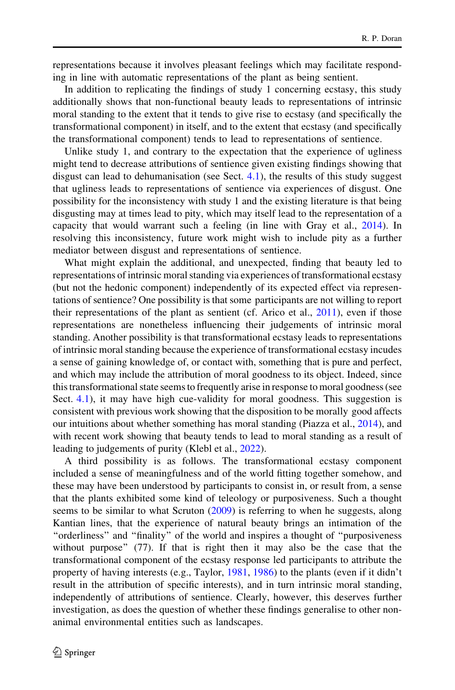representations because it involves pleasant feelings which may facilitate responding in line with automatic representations of the plant as being sentient.

In addition to replicating the findings of study 1 concerning ecstasy, this study additionally shows that non-functional beauty leads to representations of intrinsic moral standing to the extent that it tends to give rise to ecstasy (and specifically the transformational component) in itself, and to the extent that ecstasy (and specifically the transformational component) tends to lead to representations of sentience.

Unlike study 1, and contrary to the expectation that the experience of ugliness might tend to decrease attributions of sentience given existing findings showing that disgust can lead to dehumanisation (see Sect. [4.1](#page-10-0)), the results of this study suggest that ugliness leads to representations of sentience via experiences of disgust. One possibility for the inconsistency with study 1 and the existing literature is that being disgusting may at times lead to pity, which may itself lead to the representation of a capacity that would warrant such a feeling (in line with Gray et al., [2014\)](#page-33-0). In resolving this inconsistency, future work might wish to include pity as a further mediator between disgust and representations of sentience.

What might explain the additional, and unexpected, finding that beauty led to representations of intrinsic moral standing via experiences of transformational ecstasy (but not the hedonic component) independently of its expected effect via representations of sentience? One possibility is that some participants are not willing to report their representations of the plant as sentient (cf. Arico et al.,  $2011$ ), even if those representations are nonetheless influencing their judgements of intrinsic moral standing. Another possibility is that transformational ecstasy leads to representations of intrinsic moral standing because the experience of transformational ecstasy incudes a sense of gaining knowledge of, or contact with, something that is pure and perfect, and which may include the attribution of moral goodness to its object. Indeed, since this transformational state seems to frequently arise in response to moral goodness (see Sect. [4.1\)](#page-10-0), it may have high cue-validity for moral goodness. This suggestion is consistent with previous work showing that the disposition to be morally good affects our intuitions about whether something has moral standing (Piazza et al., [2014\)](#page-34-0), and with recent work showing that beauty tends to lead to moral standing as a result of leading to judgements of purity (Klebl et al., [2022\)](#page-34-0).

A third possibility is as follows. The transformational ecstasy component included a sense of meaningfulness and of the world fitting together somehow, and these may have been understood by participants to consist in, or result from, a sense that the plants exhibited some kind of teleology or purposiveness. Such a thought seems to be similar to what Scruton [\(2009](#page-35-0)) is referring to when he suggests, along Kantian lines, that the experience of natural beauty brings an intimation of the "orderliness" and "finality" of the world and inspires a thought of "purposiveness" without purpose" (77). If that is right then it may also be the case that the transformational component of the ecstasy response led participants to attribute the property of having interests (e.g., Taylor, [1981](#page-35-0), [1986](#page-35-0)) to the plants (even if it didn't result in the attribution of specific interests), and in turn intrinsic moral standing, independently of attributions of sentience. Clearly, however, this deserves further investigation, as does the question of whether these findings generalise to other nonanimal environmental entities such as landscapes.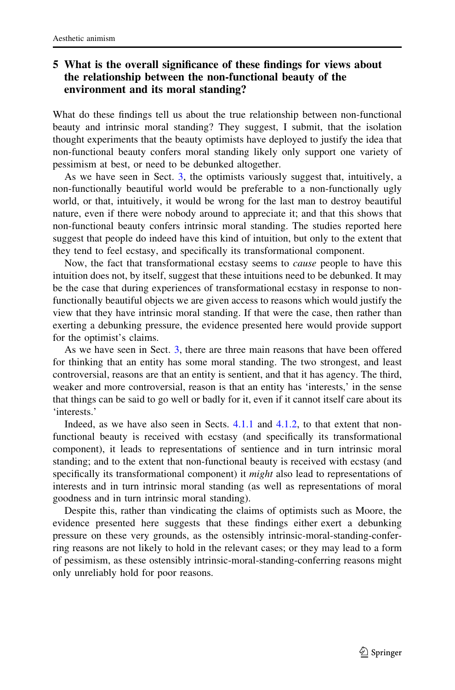# <span id="page-26-0"></span>5 What is the overall significance of these findings for views about the relationship between the non-functional beauty of the environment and its moral standing?

What do these findings tell us about the true relationship between non-functional beauty and intrinsic moral standing? They suggest, I submit, that the isolation thought experiments that the beauty optimists have deployed to justify the idea that non-functional beauty confers moral standing likely only support one variety of pessimism at best, or need to be debunked altogether.

As we have seen in Sect. [3](#page-5-0), the optimists variously suggest that, intuitively, a non-functionally beautiful world would be preferable to a non-functionally ugly world, or that, intuitively, it would be wrong for the last man to destroy beautiful nature, even if there were nobody around to appreciate it; and that this shows that non-functional beauty confers intrinsic moral standing. The studies reported here suggest that people do indeed have this kind of intuition, but only to the extent that they tend to feel ecstasy, and specifically its transformational component.

Now, the fact that transformational ecstasy seems to *cause* people to have this intuition does not, by itself, suggest that these intuitions need to be debunked. It may be the case that during experiences of transformational ecstasy in response to nonfunctionally beautiful objects we are given access to reasons which would justify the view that they have intrinsic moral standing. If that were the case, then rather than exerting a debunking pressure, the evidence presented here would provide support for the optimist's claims.

As we have seen in Sect. [3](#page-5-0), there are three main reasons that have been offered for thinking that an entity has some moral standing. The two strongest, and least controversial, reasons are that an entity is sentient, and that it has agency. The third, weaker and more controversial, reason is that an entity has 'interests,' in the sense that things can be said to go well or badly for it, even if it cannot itself care about its 'interests.'

Indeed, as we have also seen in Sects. [4.1.1](#page-20-0) and 4.1.2, to that extent that nonfunctional beauty is received with ecstasy (and specifically its transformational component), it leads to representations of sentience and in turn intrinsic moral standing; and to the extent that non-functional beauty is received with ecstasy (and specifically its transformational component) it *might* also lead to representations of interests and in turn intrinsic moral standing (as well as representations of moral goodness and in turn intrinsic moral standing).

Despite this, rather than vindicating the claims of optimists such as Moore, the evidence presented here suggests that these findings either exert a debunking pressure on these very grounds, as the ostensibly intrinsic-moral-standing-conferring reasons are not likely to hold in the relevant cases; or they may lead to a form of pessimism, as these ostensibly intrinsic-moral-standing-conferring reasons might only unreliably hold for poor reasons.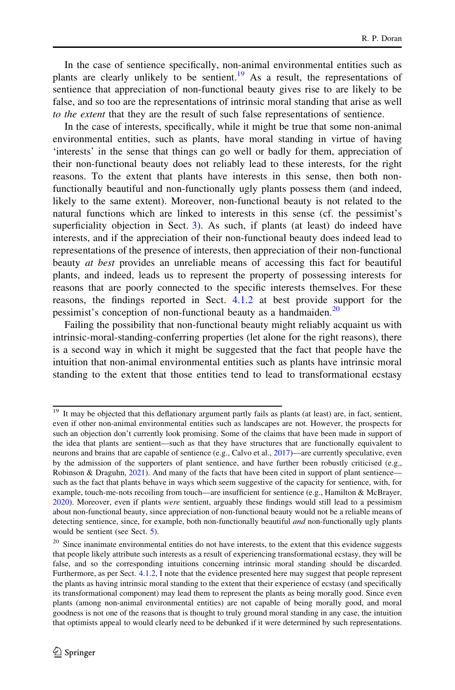In the case of sentience specifically, non-animal environmental entities such as plants are clearly unlikely to be sentient.<sup>19</sup> As a result, the representations of sentience that appreciation of non-functional beauty gives rise to are likely to be false, and so too are the representations of intrinsic moral standing that arise as well to the extent that they are the result of such false representations of sentience.

In the case of interests, specifically, while it might be true that some non-animal environmental entities, such as plants, have moral standing in virtue of having 'interests' in the sense that things can go well or badly for them, appreciation of their non-functional beauty does not reliably lead to these interests, for the right reasons. To the extent that plants have interests in this sense, then both nonfunctionally beautiful and non-functionally ugly plants possess them (and indeed, likely to the same extent). Moreover, non-functional beauty is not related to the natural functions which are linked to interests in this sense (cf. the pessimist's superficiality objection in Sect. [3\)](#page-5-0). As such, if plants (at least) do indeed have interests, and if the appreciation of their non-functional beauty does indeed lead to representations of the presence of interests, then appreciation of their non-functional beauty at best provides an unreliable means of accessing this fact for beautiful plants, and indeed, leads us to represent the property of possessing interests for reasons that are poorly connected to the specific interests themselves. For these reasons, the findings reported in Sect. [4.1.2](#page-26-0) at best provide support for the pessimist's conception of non-functional beauty as a handmaiden.<sup>20</sup>

Failing the possibility that non-functional beauty might reliably acquaint us with intrinsic-moral-standing-conferring properties (let alone for the right reasons), there is a second way in which it might be suggested that the fact that people have the intuition that non-animal environmental entities such as plants have intrinsic moral standing to the extent that those entities tend to lead to transformational ecstasy

<sup>&</sup>lt;sup>19</sup> It may be objected that this deflationary argument partly fails as plants (at least) are, in fact, sentient, even if other non-animal environmental entities such as landscapes are not. However, the prospects for such an objection don't currently look promising. Some of the claims that have been made in support of the idea that plants are sentient—such as that they have structures that are functionally equivalent to neurons and brains that are capable of sentience (e.g., Calvo et al., [2017](#page-32-0))—are currently speculative, even by the admission of the supporters of plant sentience, and have further been robustly criticised (e.g., Robinson & Draguhn, [2021](#page-34-0)). And many of the facts that have been cited in support of plant sentience such as the fact that plants behave in ways which seem suggestive of the capacity for sentience, with, for example, touch-me-nots recoiling from touch—are insufficient for sentience (e.g., Hamilton & McBrayer, [2020\)](#page-33-0). Moreover, even if plants were sentient, arguably these findings would still lead to a pessimism about non-functional beauty, since appreciation of non-functional beauty would not be a reliable means of detecting sentience, since, for example, both non-functionally beautiful *and* non-functionally ugly plants would be sentient (see Sect. [5](#page-26-0)).

<sup>&</sup>lt;sup>20</sup> Since inanimate environmental entities do not have interests, to the extent that this evidence suggests that people likely attribute such interests as a result of experiencing transformational ecstasy, they will be false, and so the corresponding intuitions concerning intrinsic moral standing should be discarded. Furthermore, as per Sect. [4.1.2](#page-14-0), I note that the evidence presented here may suggest that people represent the plants as having intrinsic moral standing to the extent that their experience of ecstasy (and specifically its transformational component) may lead them to represent the plants as being morally good. Since even plants (among non-animal environmental entities) are not capable of being morally good, and moral goodness is not one of the reasons that is thought to truly ground moral standing in any case, the intuition that optimists appeal to would clearly need to be debunked if it were determined by such representations.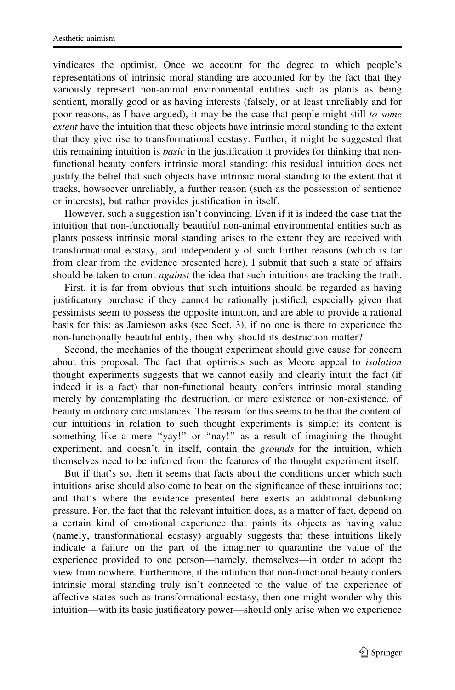vindicates the optimist. Once we account for the degree to which people's representations of intrinsic moral standing are accounted for by the fact that they variously represent non-animal environmental entities such as plants as being sentient, morally good or as having interests (falsely, or at least unreliably and for poor reasons, as I have argued), it may be the case that people might still to some extent have the intuition that these objects have intrinsic moral standing to the extent that they give rise to transformational ecstasy. Further, it might be suggested that this remaining intuition is *basic* in the justification it provides for thinking that nonfunctional beauty confers intrinsic moral standing: this residual intuition does not justify the belief that such objects have intrinsic moral standing to the extent that it tracks, howsoever unreliably, a further reason (such as the possession of sentience or interests), but rather provides justification in itself.

However, such a suggestion isn't convincing. Even if it is indeed the case that the intuition that non-functionally beautiful non-animal environmental entities such as plants possess intrinsic moral standing arises to the extent they are received with transformational ecstasy, and independently of such further reasons (which is far from clear from the evidence presented here), I submit that such a state of affairs should be taken to count *against* the idea that such intuitions are tracking the truth.

First, it is far from obvious that such intuitions should be regarded as having justificatory purchase if they cannot be rationally justified, especially given that pessimists seem to possess the opposite intuition, and are able to provide a rational basis for this: as Jamieson asks (see Sect. [3](#page-5-0)), if no one is there to experience the non-functionally beautiful entity, then why should its destruction matter?

Second, the mechanics of the thought experiment should give cause for concern about this proposal. The fact that optimists such as Moore appeal to isolation thought experiments suggests that we cannot easily and clearly intuit the fact (if indeed it is a fact) that non-functional beauty confers intrinsic moral standing merely by contemplating the destruction, or mere existence or non-existence, of beauty in ordinary circumstances. The reason for this seems to be that the content of our intuitions in relation to such thought experiments is simple: its content is something like a mere "yay!" or "nay!" as a result of imagining the thought experiment, and doesn't, in itself, contain the *grounds* for the intuition, which themselves need to be inferred from the features of the thought experiment itself.

But if that's so, then it seems that facts about the conditions under which such intuitions arise should also come to bear on the significance of these intuitions too; and that's where the evidence presented here exerts an additional debunking pressure. For, the fact that the relevant intuition does, as a matter of fact, depend on a certain kind of emotional experience that paints its objects as having value (namely, transformational ecstasy) arguably suggests that these intuitions likely indicate a failure on the part of the imaginer to quarantine the value of the experience provided to one person—namely, themselves—in order to adopt the view from nowhere. Furthermore, if the intuition that non-functional beauty confers intrinsic moral standing truly isn't connected to the value of the experience of affective states such as transformational ecstasy, then one might wonder why this intuition—with its basic justificatory power—should only arise when we experience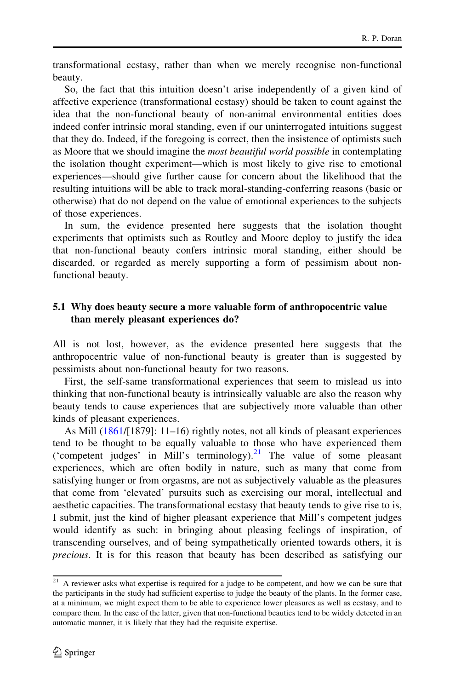transformational ecstasy, rather than when we merely recognise non-functional beauty.

So, the fact that this intuition doesn't arise independently of a given kind of affective experience (transformational ecstasy) should be taken to count against the idea that the non-functional beauty of non-animal environmental entities does indeed confer intrinsic moral standing, even if our uninterrogated intuitions suggest that they do. Indeed, if the foregoing is correct, then the insistence of optimists such as Moore that we should imagine the most beautiful world possible in contemplating the isolation thought experiment—which is most likely to give rise to emotional experiences—should give further cause for concern about the likelihood that the resulting intuitions will be able to track moral-standing-conferring reasons (basic or otherwise) that do not depend on the value of emotional experiences to the subjects of those experiences.

In sum, the evidence presented here suggests that the isolation thought experiments that optimists such as Routley and Moore deploy to justify the idea that non-functional beauty confers intrinsic moral standing, either should be discarded, or regarded as merely supporting a form of pessimism about nonfunctional beauty.

#### 5.1 Why does beauty secure a more valuable form of anthropocentric value than merely pleasant experiences do?

All is not lost, however, as the evidence presented here suggests that the anthropocentric value of non-functional beauty is greater than is suggested by pessimists about non-functional beauty for two reasons.

First, the self-same transformational experiences that seem to mislead us into thinking that non-functional beauty is intrinsically valuable are also the reason why beauty tends to cause experiences that are subjectively more valuable than other kinds of pleasant experiences.

As Mill ([1861/](#page-34-0)[1879]: 11–16) rightly notes, not all kinds of pleasant experiences tend to be thought to be equally valuable to those who have experienced them ('competent judges' in Mill's terminology). $^{21}$  The value of some pleasant experiences, which are often bodily in nature, such as many that come from satisfying hunger or from orgasms, are not as subjectively valuable as the pleasures that come from 'elevated' pursuits such as exercising our moral, intellectual and aesthetic capacities. The transformational ecstasy that beauty tends to give rise to is, I submit, just the kind of higher pleasant experience that Mill's competent judges would identify as such: in bringing about pleasing feelings of inspiration, of transcending ourselves, and of being sympathetically oriented towards others, it is precious. It is for this reason that beauty has been described as satisfying our

<sup>&</sup>lt;sup>21</sup> A reviewer asks what expertise is required for a judge to be competent, and how we can be sure that the participants in the study had sufficient expertise to judge the beauty of the plants. In the former case, at a minimum, we might expect them to be able to experience lower pleasures as well as ecstasy, and to compare them. In the case of the latter, given that non-functional beauties tend to be widely detected in an automatic manner, it is likely that they had the requisite expertise.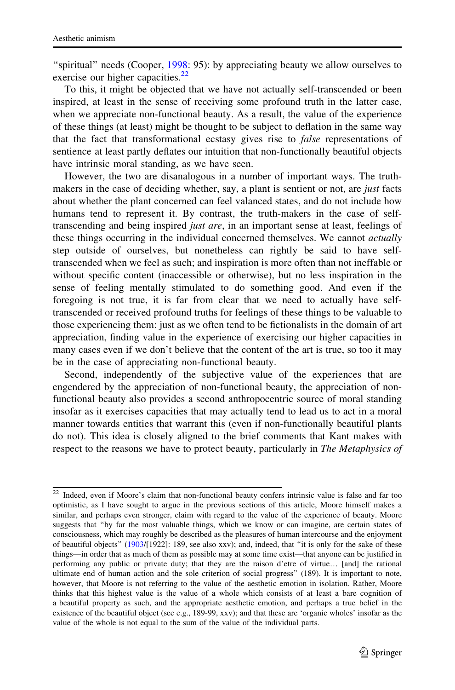"spiritual" needs (Cooper, [1998](#page-33-0): 95): by appreciating beauty we allow ourselves to exercise our higher capacities. $^{22}$ 

To this, it might be objected that we have not actually self-transcended or been inspired, at least in the sense of receiving some profound truth in the latter case, when we appreciate non-functional beauty. As a result, the value of the experience of these things (at least) might be thought to be subject to deflation in the same way that the fact that transformational ecstasy gives rise to false representations of sentience at least partly deflates our intuition that non-functionally beautiful objects have intrinsic moral standing, as we have seen.

However, the two are disanalogous in a number of important ways. The truthmakers in the case of deciding whether, say, a plant is sentient or not, are *just* facts about whether the plant concerned can feel valanced states, and do not include how humans tend to represent it. By contrast, the truth-makers in the case of selftranscending and being inspired *just are*, in an important sense at least, feelings of these things occurring in the individual concerned themselves. We cannot *actually* step outside of ourselves, but nonetheless can rightly be said to have selftranscended when we feel as such; and inspiration is more often than not ineffable or without specific content (inaccessible or otherwise), but no less inspiration in the sense of feeling mentally stimulated to do something good. And even if the foregoing is not true, it is far from clear that we need to actually have selftranscended or received profound truths for feelings of these things to be valuable to those experiencing them: just as we often tend to be fictionalists in the domain of art appreciation, finding value in the experience of exercising our higher capacities in many cases even if we don't believe that the content of the art is true, so too it may be in the case of appreciating non-functional beauty.

Second, independently of the subjective value of the experiences that are engendered by the appreciation of non-functional beauty, the appreciation of nonfunctional beauty also provides a second anthropocentric source of moral standing insofar as it exercises capacities that may actually tend to lead us to act in a moral manner towards entities that warrant this (even if non-functionally beautiful plants do not). This idea is closely aligned to the brief comments that Kant makes with respect to the reasons we have to protect beauty, particularly in The Metaphysics of

<sup>22</sup> Indeed, even if Moore's claim that non-functional beauty confers intrinsic value is false and far too optimistic, as I have sought to argue in the previous sections of this article, Moore himself makes a similar, and perhaps even stronger, claim with regard to the value of the experience of beauty. Moore suggests that ''by far the most valuable things, which we know or can imagine, are certain states of consciousness, which may roughly be described as the pleasures of human intercourse and the enjoyment of beautiful objects'' [\(1903/](#page-34-0)[1922]: 189, see also xxv); and, indeed, that ''it is only for the sake of these things—in order that as much of them as possible may at some time exist—that anyone can be justified in performing any public or private duty; that they are the raison d'etre of virtue… [and] the rational ultimate end of human action and the sole criterion of social progress'' (189). It is important to note, however, that Moore is not referring to the value of the aesthetic emotion in isolation. Rather, Moore thinks that this highest value is the value of a whole which consists of at least a bare cognition of a beautiful property as such, and the appropriate aesthetic emotion, and perhaps a true belief in the existence of the beautiful object (see e.g., 189-99, xxv); and that these are 'organic wholes' insofar as the value of the whole is not equal to the sum of the value of the individual parts.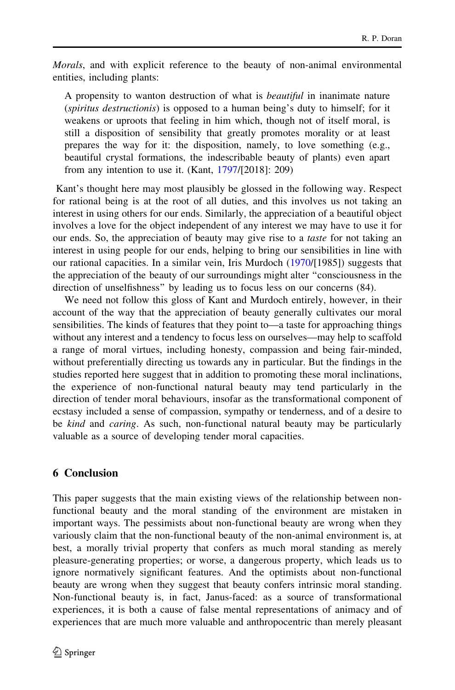Morals, and with explicit reference to the beauty of non-animal environmental entities, including plants:

A propensity to wanton destruction of what is beautiful in inanimate nature (spiritus destructionis) is opposed to a human being's duty to himself; for it weakens or uproots that feeling in him which, though not of itself moral, is still a disposition of sensibility that greatly promotes morality or at least prepares the way for it: the disposition, namely, to love something (e.g., beautiful crystal formations, the indescribable beauty of plants) even apart from any intention to use it. (Kant, [1797/](#page-34-0)[2018]: 209)

Kant's thought here may most plausibly be glossed in the following way. Respect for rational being is at the root of all duties, and this involves us not taking an interest in using others for our ends. Similarly, the appreciation of a beautiful object involves a love for the object independent of any interest we may have to use it for our ends. So, the appreciation of beauty may give rise to a *taste* for not taking an interest in using people for our ends, helping to bring our sensibilities in line with our rational capacities. In a similar vein, Iris Murdoch [\(1970](#page-34-0)/[1985]) suggests that the appreciation of the beauty of our surroundings might alter ''consciousness in the direction of unselfishness'' by leading us to focus less on our concerns (84).

We need not follow this gloss of Kant and Murdoch entirely, however, in their account of the way that the appreciation of beauty generally cultivates our moral sensibilities. The kinds of features that they point to—a taste for approaching things without any interest and a tendency to focus less on ourselves—may help to scaffold a range of moral virtues, including honesty, compassion and being fair-minded, without preferentially directing us towards any in particular. But the findings in the studies reported here suggest that in addition to promoting these moral inclinations, the experience of non-functional natural beauty may tend particularly in the direction of tender moral behaviours, insofar as the transformational component of ecstasy included a sense of compassion, sympathy or tenderness, and of a desire to be kind and caring. As such, non-functional natural beauty may be particularly valuable as a source of developing tender moral capacities.

### 6 Conclusion

This paper suggests that the main existing views of the relationship between nonfunctional beauty and the moral standing of the environment are mistaken in important ways. The pessimists about non-functional beauty are wrong when they variously claim that the non-functional beauty of the non-animal environment is, at best, a morally trivial property that confers as much moral standing as merely pleasure-generating properties; or worse, a dangerous property, which leads us to ignore normatively significant features. And the optimists about non-functional beauty are wrong when they suggest that beauty confers intrinsic moral standing. Non-functional beauty is, in fact, Janus-faced: as a source of transformational experiences, it is both a cause of false mental representations of animacy and of experiences that are much more valuable and anthropocentric than merely pleasant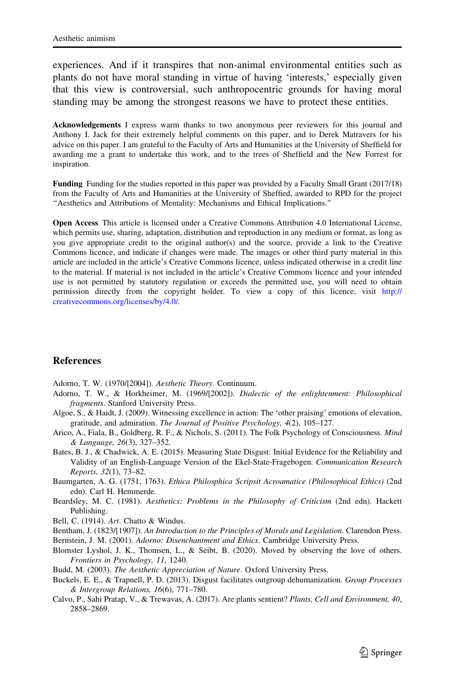<span id="page-32-0"></span>experiences. And if it transpires that non-animal environmental entities such as plants do not have moral standing in virtue of having 'interests,' especially given that this view is controversial, such anthropocentric grounds for having moral standing may be among the strongest reasons we have to protect these entities.

Acknowledgements I express warm thanks to two anonymous peer reviewers for this journal and Anthony I. Jack for their extremely helpful comments on this paper, and to Derek Matravers for his advice on this paper. I am grateful to the Faculty of Arts and Humanities at the University of Sheffield for awarding me a grant to undertake this work, and to the trees of Sheffield and the New Forrest for inspiration.

Funding Funding for the studies reported in this paper was provided by a Faculty Small Grant (2017/18) from the Faculty of Arts and Humanities at the University of Sheffied, awarded to RPD for the project ''Aesthetics and Attributions of Mentality: Mechanisms and Ethical Implications.''

Open Access This article is licensed under a Creative Commons Attribution 4.0 International License, which permits use, sharing, adaptation, distribution and reproduction in any medium or format, as long as you give appropriate credit to the original author(s) and the source, provide a link to the Creative Commons licence, and indicate if changes were made. The images or other third party material in this article are included in the article's Creative Commons licence, unless indicated otherwise in a credit line to the material. If material is not included in the article's Creative Commons licence and your intended use is not permitted by statutory regulation or exceeds the permitted use, you will need to obtain permission directly from the copyright holder. To view a copy of this licence, visit [http://](http://creativecommons.org/licenses/by/4.0/) [creativecommons.org/licenses/by/4.0/.](http://creativecommons.org/licenses/by/4.0/)

#### **References**

Adorno, T. W. (1970/[2004]). Aesthetic Theory. Continuum.

- Adorno, T. W., & Horkheimer, M. (1969/[2002]). Dialectic of the enlightenment: Philosophical fragments. Stanford University Press.
- Algoe, S., & Haidt, J. (2009). Witnessing excellence in action: The 'other praising' emotions of elevation, gratitude, and admiration. The Journal of Positive Psychology, 4(2), 105–127.
- Arico, A., Fiala, B., Goldberg, R. F., & Nichols, S. (2011). The Folk Psychology of Consciousness. Mind & Language, 26(3), 327–352.
- Bates, B. J., & Chadwick, A. E. (2015). Measuring State Disgust: Initial Evidence for the Reliability and Validity of an English-Language Version of the Ekel-State-Fragebogen. Communication Research Reports, 32(1), 73–82.
- Baumgarten, A. G. (1751, 1763). Ethica Philosphica Scripsit Acroamatice (Philosophical Ethics) (2nd edn). Carl H. Hemmerde.
- Beardsley, M. C. (1981). Aesthetics: Problems in the Philosophy of Criticism (2nd edn). Hackett Publishing.
- Bell, C. (1914). Art. Chatto & Windus.
- Bentham, J. (1823/[1907]). An Introduction to the Principles of Morals and Legislation. Clarendon Press.

Bernstein, J. M. (2001). Adorno: Disenchantment and Ethics. Cambridge University Press.

- Blomster Lyshol, J. K., Thomsen, L., & Seibt, B. (2020). Moved by observing the love of others. Frontiers in Psychology, 11, 1240.
- Budd, M. (2003). The Aesthetic Appreciation of Nature. Oxford University Press.
- Buckels, E. E., & Trapnell, P. D. (2013). Disgust facilitates outgroup dehumanization. Group Processes & Intergroup Relations, 16(6), 771–780.
- Calvo, P., Sahi Pratap, V., & Trewavas, A. (2017). Are plants sentient? Plants, Cell and Environment, 40, 2858–2869.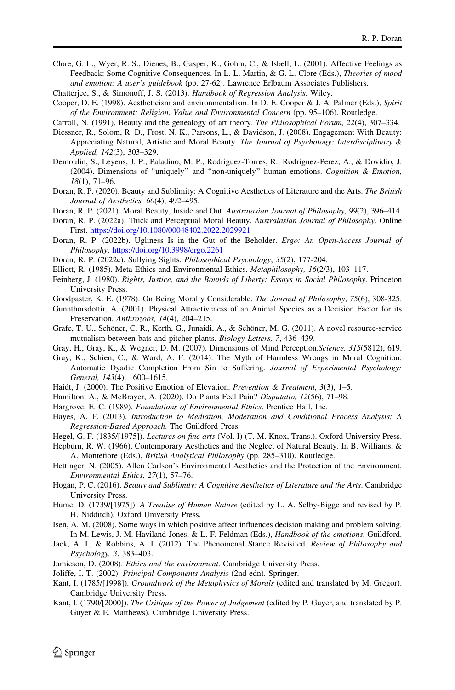- <span id="page-33-0"></span>Clore, G. L., Wyer, R. S., Dienes, B., Gasper, K., Gohm, C., & Isbell, L. (2001). Affective Feelings as Feedback: Some Cognitive Consequences. In L. L. Martin, & G. L. Clore (Eds.), Theories of mood and emotion: A user's guidebook (pp. 27-62). Lawrence Erlbaum Associates Publishers.
- Chatterjee, S., & Simonoff, J. S. (2013). Handbook of Regression Analysis. Wiley.
- Cooper, D. E. (1998). Aestheticism and environmentalism. In D. E. Cooper & J. A. Palmer (Eds.), Spirit of the Environment: Religion, Value and Environmental Concern (pp. 95–106). Routledge.
- Carroll, N. (1991). Beauty and the genealogy of art theory. The Philosophical Forum, 22(4), 307–334.
- Diessner, R., Solom, R. D., Frost, N. K., Parsons, L., & Davidson, J. (2008). Engagement With Beauty: Appreciating Natural, Artistic and Moral Beauty. The Journal of Psychology: Interdisciplinary & Applied, 142(3), 303–329.
- Demoulin, S., Leyens, J. P., Paladino, M. P., Rodriguez-Torres, R., Rodriguez-Perez, A., & Dovidio, J. (2004). Dimensions of ''uniquely'' and ''non-uniquely'' human emotions. Cognition & Emotion, 18(1), 71–96.
- Doran, R. P. (2020). Beauty and Sublimity: A Cognitive Aesthetics of Literature and the Arts. The British Journal of Aesthetics, 60(4), 492–495.
- Doran, R. P. (2021). Moral Beauty, Inside and Out. Australasian Journal of Philosophy, 99(2), 396-414.
- Doran, R. P. (2022a). Thick and Perceptual Moral Beauty. Australasian Journal of Philosophy. Online First. <https://doi.org/10.1080/00048402.2022.2029921>
- Doran, R. P. (2022b). Ugliness Is in the Gut of the Beholder. *Ergo: An Open-Access Journal of* Philosophy. <https://doi.org/10.3998/ergo.2261>
- Doran, R. P. (2022c). Sullying Sights. Philosophical Psychology, 35(2), 177-204.
- Elliott, R. (1985). Meta-Ethics and Environmental Ethics. Metaphilosophy, 16(2/3), 103–117.
- Feinberg, J. (1980). Rights, Justice, and the Bounds of Liberty: Essays in Social Philosophy. Princeton University Press.
- Goodpaster, K. E. (1978). On Being Morally Considerable. The Journal of Philosophy, 75(6), 308-325.
- Gunnthorsdottir, A. (2001). Physical Attractiveness of an Animal Species as a Decision Factor for its Preservation. Anthrozoo's, 14(4), 204-215.
- Grafe, T. U., Schöner, C. R., Kerth, G., Junaidi, A., & Schöner, M. G. (2011). A novel resource-service mutualism between bats and pitcher plants. Biology Letters, 7, 436–439.
- Gray, H., Gray, K., & Wegner, D. M. (2007). Dimensions of Mind Perception.Science, 315(5812), 619.
- Gray, K., Schien, C., & Ward, A. F. (2014). The Myth of Harmless Wrongs in Moral Cognition: Automatic Dyadic Completion From Sin to Suffering. Journal of Experimental Psychology: General, 143(4), 1600–1615.
- Haidt, J. (2000). The Positive Emotion of Elevation. Prevention & Treatment, 3(3), 1-5.
- Hamilton, A., & McBrayer, A. (2020). Do Plants Feel Pain? Disputatio, 12(56), 71–98.
- Hargrove, E. C. (1989). Foundations of Environmental Ethics. Prentice Hall, Inc.
- Hayes, A. F. (2013). Introduction to Mediation, Moderation and Conditional Process Analysis: A Regression-Based Approach. The Guildford Press.
- Hegel, G. F. (1835/[1975]). Lectures on fine arts (Vol. I) (T. M. Knox, Trans.). Oxford University Press.

Hepburn, R. W. (1966). Contemporary Aesthetics and the Neglect of Natural Beauty. In B. Williams, & A. Montefiore (Eds.), British Analytical Philosophy (pp. 285-310). Routledge.

- Hettinger, N. (2005). Allen Carlson's Environmental Aesthetics and the Protection of the Environment. Environmental Ethics, 27(1), 57–76.
- Hogan, P. C. (2016). Beauty and Sublimity: A Cognitive Aesthetics of Literature and the Arts. Cambridge University Press.
- Hume, D. (1739/[1975]). A Treatise of Human Nature (edited by L. A. Selby-Bigge and revised by P. H. Nidditch). Oxford University Press.
- Isen, A. M. (2008). Some ways in which positive affect influences decision making and problem solving. In M. Lewis, J. M. Haviland-Jones, & L. F. Feldman (Eds.), Handbook of the emotions. Guildford.
- Jack, A. I., & Robbins, A. I. (2012). The Phenomenal Stance Revisited. Review of Philosophy and Psychology, 3, 383–403.
- Jamieson, D. (2008). Ethics and the environment. Cambridge University Press.
- Joliffe, I. T. (2002). Principal Components Analysis (2nd edn). Springer.
- Kant, I. (1785/[1998]). Groundwork of the Metaphysics of Morals (edited and translated by M. Gregor). Cambridge University Press.
- Kant, I. (1790/[2000]). The Critique of the Power of Judgement (edited by P. Guyer, and translated by P. Guyer & E. Matthews). Cambridge University Press.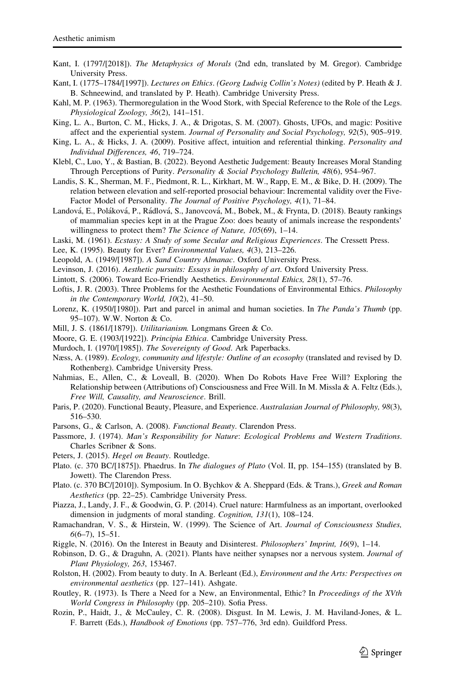- <span id="page-34-0"></span>Kant, I. (1797/[2018]). The Metaphysics of Morals (2nd edn, translated by M. Gregor). Cambridge University Press.
- Kant, I. (1775–1784/[1997]). Lectures on Ethics. (Georg Ludwig Collin's Notes) (edited by P. Heath & J. B. Schneewind, and translated by P. Heath). Cambridge University Press.
- Kahl, M. P. (1963). Thermoregulation in the Wood Stork, with Special Reference to the Role of the Legs. Physiological Zoology, 36(2), 141–151.
- King, L. A., Burton, C. M., Hicks, J. A., & Drigotas, S. M. (2007). Ghosts, UFOs, and magic: Positive affect and the experiential system. Journal of Personality and Social Psychology, 92(5), 905–919.
- King, L. A., & Hicks, J. A. (2009). Positive affect, intuition and referential thinking. Personality and Individual Differences, 46, 719–724.
- Klebl, C., Luo, Y., & Bastian, B. (2022). Beyond Aesthetic Judgement: Beauty Increases Moral Standing Through Perceptions of Purity. Personality & Social Psychology Bulletin, 48(6), 954–967.
- Landis, S. K., Sherman, M. F., Piedmont, R. L., Kirkhart, M. W., Rapp, E. M., & Bike, D. H. (2009). The relation between elevation and self-reported prosocial behaviour: Incremental validity over the Five-Factor Model of Personality. The Journal of Positive Psychology, 4(1), 71–84.
- Landová, E., Poláková, P., Rádlová, S., Janovcová, M., Bobek, M., & Frynta, D. (2018). Beauty rankings of mammalian species kept in at the Prague Zoo: does beauty of animals increase the respondents' willingness to protect them? The Science of Nature, 105(69), 1-14.
- Laski, M. (1961). Ecstasy: A Study of some Secular and Religious Experiences. The Cressett Press.
- Lee, K. (1995). Beauty for Ever? Environmental Values, 4(3), 213–226.
- Leopold, A. (1949/[1987]). A Sand Country Almanac. Oxford University Press.
- Levinson, J. (2016). Aesthetic pursuits: Essays in philosophy of art. Oxford University Press.
- Lintott, S. (2006). Toward Eco-Friendly Aesthetics. Environmental Ethics, 28(1), 57–76.
- Loftis, J. R. (2003). Three Problems for the Aesthetic Foundations of Environmental Ethics. *Philosophy* in the Contemporary World, 10(2), 41–50.
- Lorenz, K. (1950/[1980]). Part and parcel in animal and human societies. In The Panda's Thumb (pp. 95–107). W.W. Norton & Co.
- Mill, J. S. (1861/[1879]). Utilitarianism. Longmans Green & Co.
- Moore, G. E. (1903/[1922]). Principia Ethica. Cambridge University Press.
- Murdoch, I. (1970/[1985]). The Sovereignty of Good. Ark Paperbacks.
- Næss, A. (1989). *Ecology, community and lifestyle: Outline of an ecosophy* (translated and revised by D. Rothenberg). Cambridge University Press.
- Nahmias, E., Allen, C., & Loveall, B. (2020). When Do Robots Have Free Will? Exploring the Relationship between (Attributions of) Consciousness and Free Will. In M. Missla & A. Feltz (Eds.), Free Will, Causality, and Neuroscience. Brill.
- Paris, P. (2020). Functional Beauty, Pleasure, and Experience. Australasian Journal of Philosophy, 98(3), 516–530.
- Parsons, G., & Carlson, A. (2008). Functional Beauty. Clarendon Press.
- Passmore, J. (1974). Man's Responsibility for Nature: Ecological Problems and Western Traditions. Charles Scribner & Sons.
- Peters, J. (2015). Hegel on Beauty. Routledge.
- Plato. (c. 370 BC/[1875]). Phaedrus. In *The dialogues of Plato* (Vol. II, pp. 154–155) (translated by B. Jowett). The Clarendon Press.
- Plato. (c. 370 BC/[2010]). Symposium. In O. Bychkov & A. Sheppard (Eds. & Trans.), Greek and Roman Aesthetics (pp. 22–25). Cambridge University Press.
- Piazza, J., Landy, J. F., & Goodwin, G. P. (2014). Cruel nature: Harmfulness as an important, overlooked dimension in judgments of moral standing. Cognition, 131(1), 108–124.
- Ramachandran, V. S., & Hirstein, W. (1999). The Science of Art. Journal of Consciousness Studies,  $6(6-7), 15-51.$
- Riggle, N. (2016). On the Interest in Beauty and Disinterest. Philosophers' Imprint, 16(9), 1–14.
- Robinson, D. G., & Draguhn, A. (2021). Plants have neither synapses nor a nervous system. Journal of Plant Physiology, 263, 153467.
- Rolston, H. (2002). From beauty to duty. In A. Berleant (Ed.), *Environment and the Arts: Perspectives on* environmental aesthetics (pp. 127–141). Ashgate.
- Routley, R. (1973). Is There a Need for a New, an Environmental, Ethic? In Proceedings of the XVth World Congress in Philosophy (pp. 205–210). Sofia Press.
- Rozin, P., Haidt, J., & McCauley, C. R. (2008). Disgust. In M. Lewis, J. M. Haviland-Jones, & L. F. Barrett (Eds.), Handbook of Emotions (pp. 757–776, 3rd edn). Guildford Press.